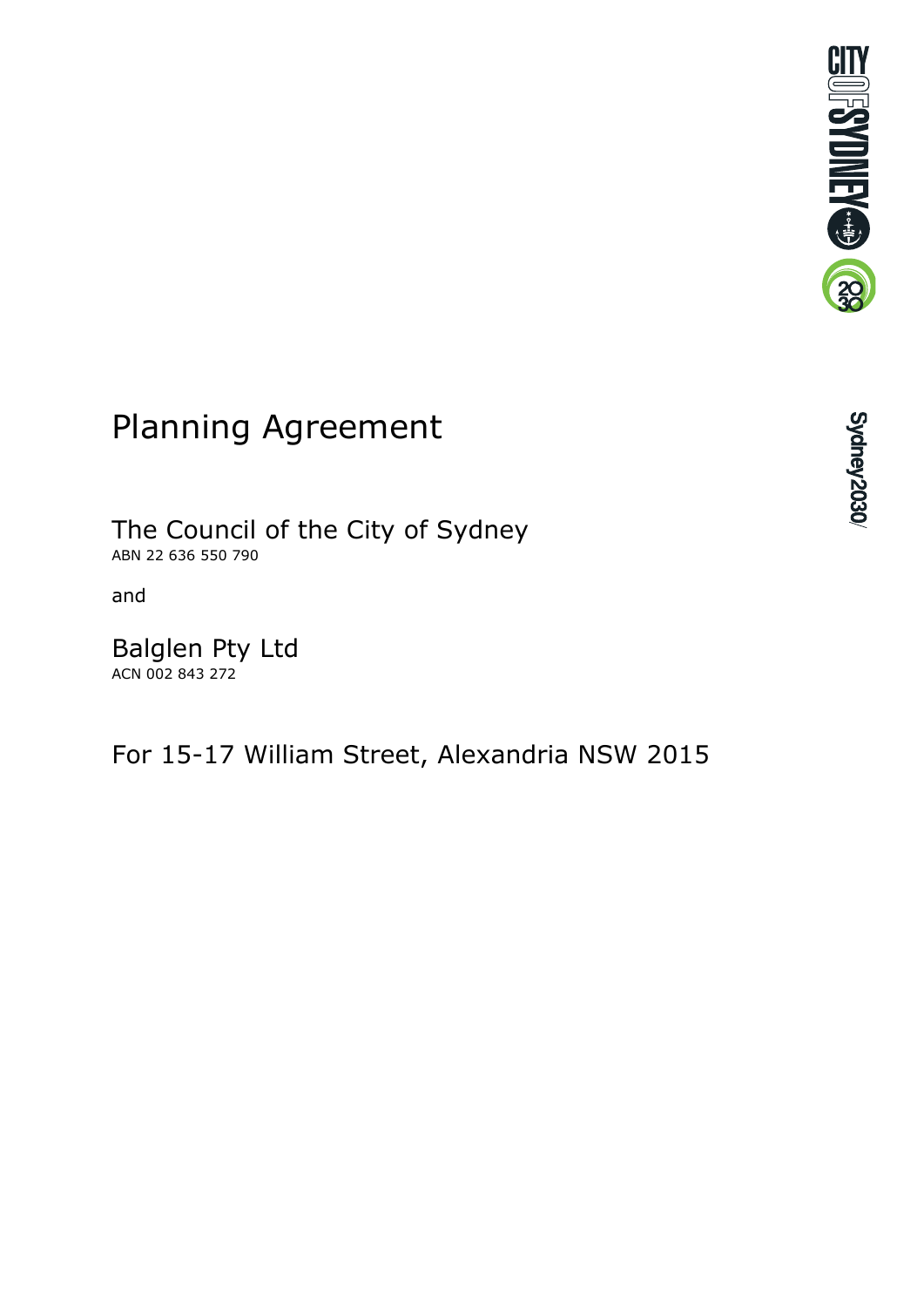

# Planning Agreement

The Council of the City of Sydney ABN 22 636 550 790

and

Balglen Pty Ltd ACN 002 843 272

For 15-17 William Street, Alexandria NSW 2015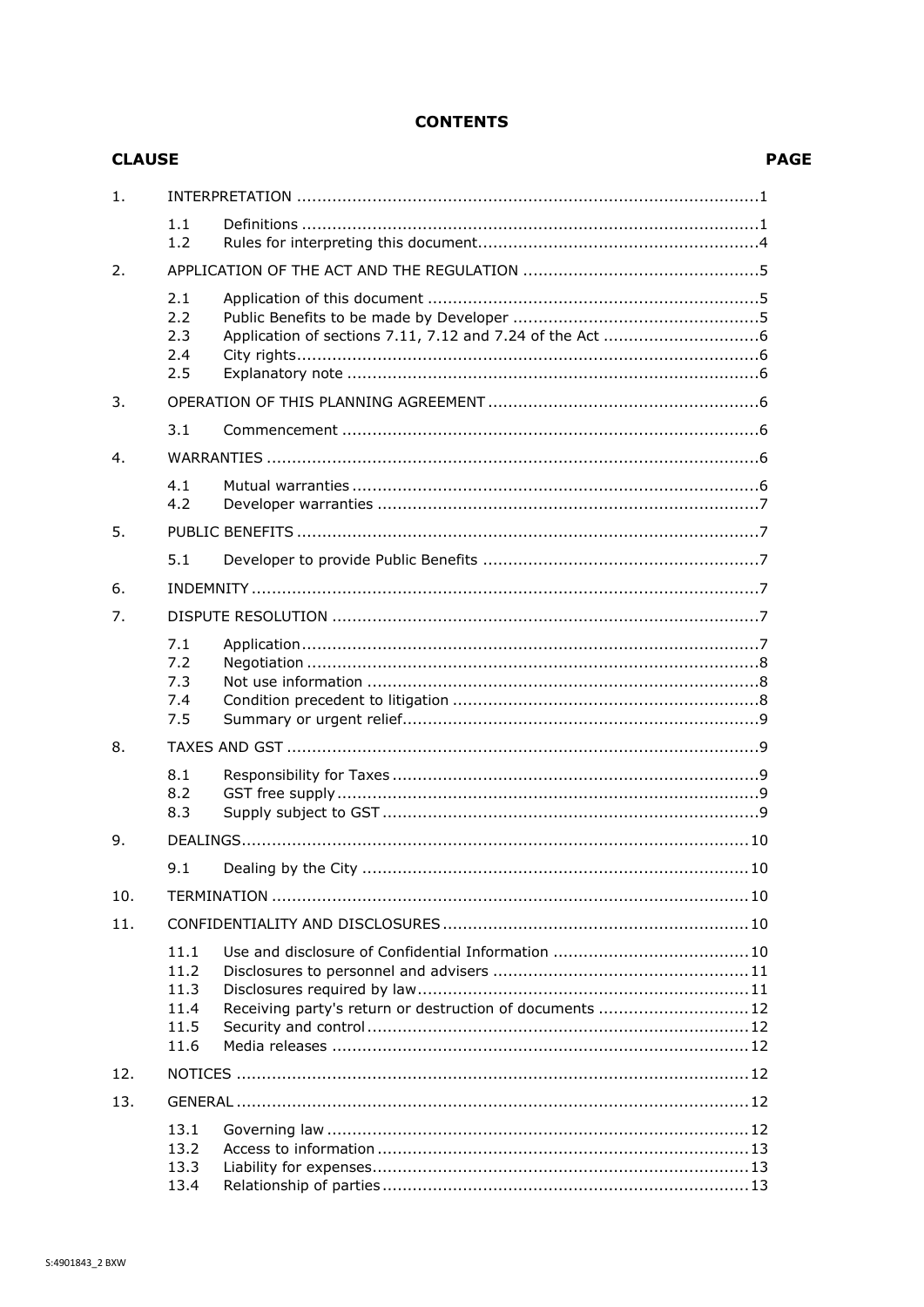## **CONTENTS**

| <b>CLAUSE</b>  |                                              | Р                                                       |  |  |
|----------------|----------------------------------------------|---------------------------------------------------------|--|--|
| $\mathbf{1}$ . |                                              |                                                         |  |  |
|                | 1.1<br>1.2                                   |                                                         |  |  |
| 2.             |                                              |                                                         |  |  |
|                | 2.1<br>2.2<br>2.3<br>2.4<br>2.5              |                                                         |  |  |
| 3.             |                                              |                                                         |  |  |
|                | 3.1                                          |                                                         |  |  |
| 4.             |                                              |                                                         |  |  |
|                | 4.1<br>4.2                                   |                                                         |  |  |
| 5.             |                                              |                                                         |  |  |
|                | 5.1                                          |                                                         |  |  |
| 6.             |                                              |                                                         |  |  |
| 7.             |                                              |                                                         |  |  |
|                | 7.1<br>7.2<br>7.3<br>7.4<br>7.5              |                                                         |  |  |
| 8.             |                                              |                                                         |  |  |
|                | 8.1<br>8.2<br>8.3                            |                                                         |  |  |
| 9.             |                                              |                                                         |  |  |
|                | 9.1                                          |                                                         |  |  |
| 10.            |                                              |                                                         |  |  |
| 11.            |                                              |                                                         |  |  |
|                | 11.1<br>11.2<br>11.3<br>11.4<br>11.5<br>11.6 | Receiving party's return or destruction of documents 12 |  |  |
| 12.            |                                              |                                                         |  |  |
| 13.            |                                              |                                                         |  |  |
|                | 13.1<br>13.2<br>13.3<br>13.4                 |                                                         |  |  |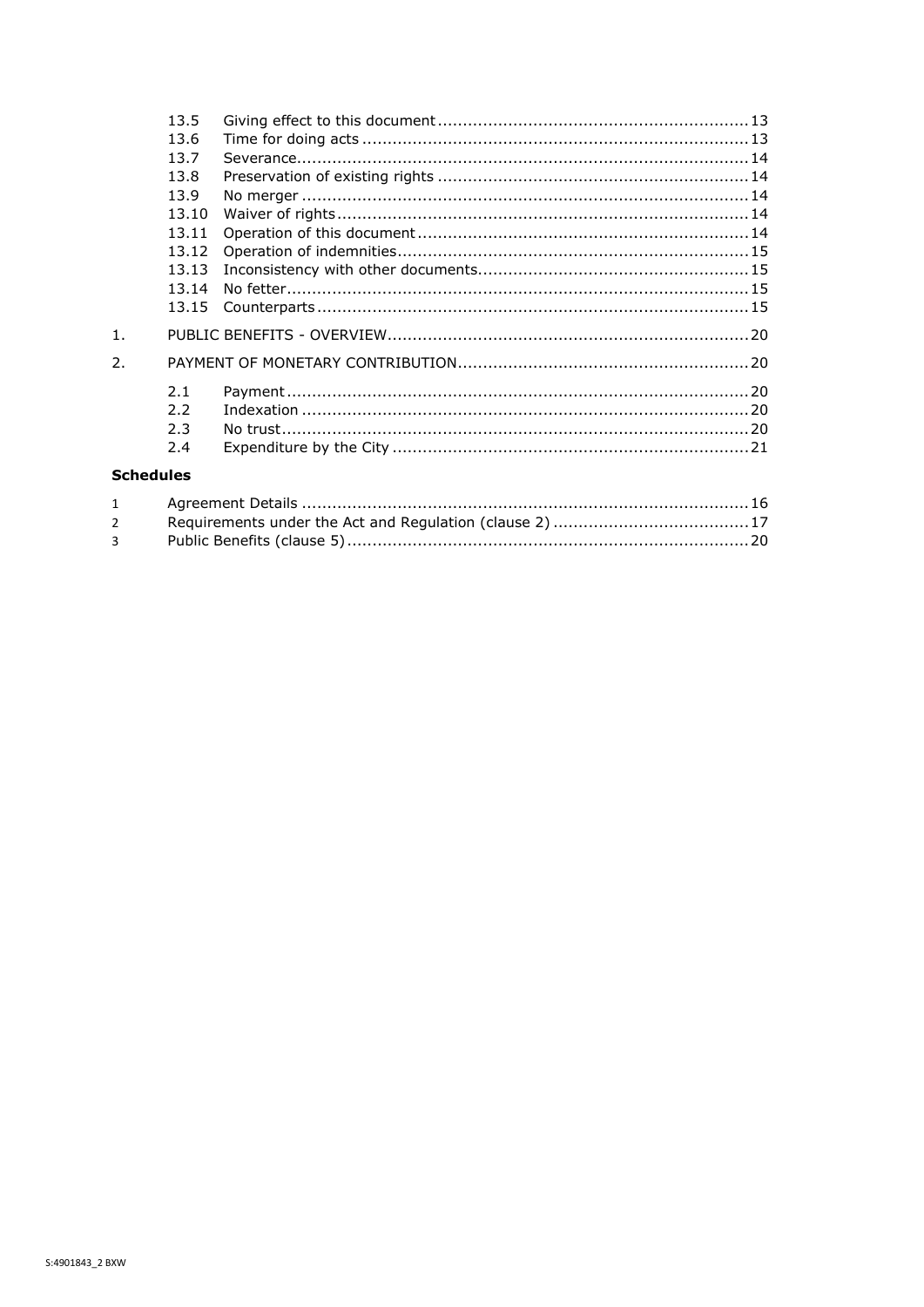|                  | 13.5  |  |  |
|------------------|-------|--|--|
|                  | 13.6  |  |  |
|                  | 13.7  |  |  |
|                  | 13.8  |  |  |
|                  | 13.9  |  |  |
|                  | 13.10 |  |  |
|                  | 13.11 |  |  |
|                  | 13.12 |  |  |
|                  | 13.13 |  |  |
|                  | 13.14 |  |  |
|                  |       |  |  |
| 1 <sub>1</sub>   |       |  |  |
| $\overline{2}$ . |       |  |  |
|                  | 2.1   |  |  |
|                  | 2.2   |  |  |
|                  | 2.3   |  |  |
|                  | 2.4   |  |  |
| - - - -          |       |  |  |

## **Schedules**

| $2^{\sim}$  |  |
|-------------|--|
| $3^{\circ}$ |  |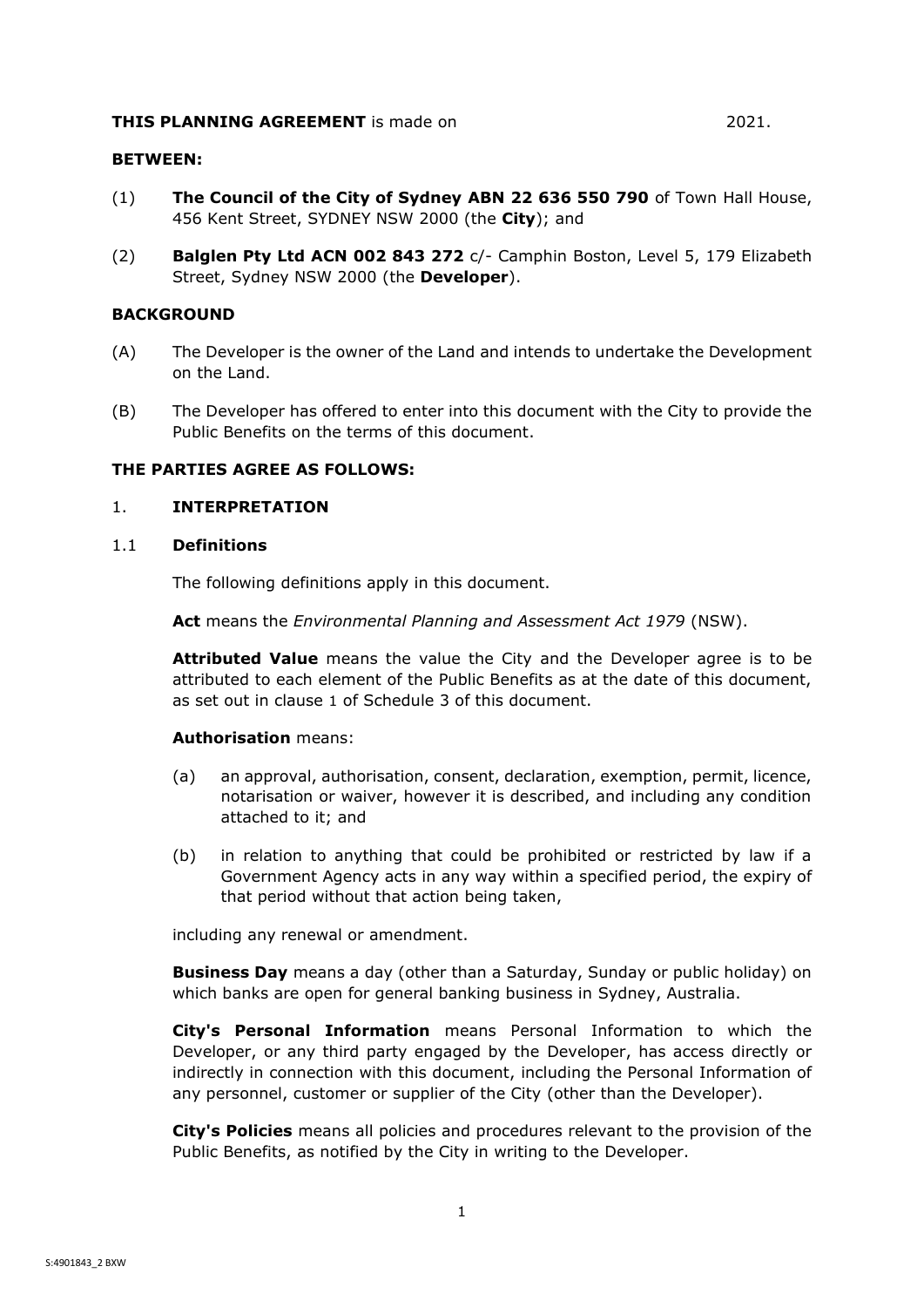#### **THIS PLANNING AGREEMENT** is made on 2021.

#### **BETWEEN:**

- (1) **The Council of the City of Sydney ABN 22 636 550 790** of Town Hall House, 456 Kent Street, SYDNEY NSW 2000 (the **City**); and
- (2) **Balglen Pty Ltd ACN 002 843 272** c/- Camphin Boston, Level 5, 179 Elizabeth Street, Sydney NSW 2000 (the **Developer**).

## **BACKGROUND**

- (A) The Developer is the owner of the Land and intends to undertake the Development on the Land.
- (B) The Developer has offered to enter into this document with the City to provide the Public Benefits on the terms of this document.

## **THE PARTIES AGREE AS FOLLOWS:**

#### <span id="page-3-0"></span>1. **INTERPRETATION**

#### <span id="page-3-1"></span>1.1 **Definitions**

The following definitions apply in this document.

**Act** means the *Environmental Planning and Assessment Act 1979* (NSW).

**Attributed Value** means the value the City and the Developer agree is to be attributed to each element of the Public Benefits as at the date of this document, as set out in clause [1](#page-22-0) of [Schedule 3](#page-22-6) of this document.

#### **Authorisation** means:

- (a) an approval, authorisation, consent, declaration, exemption, permit, licence, notarisation or waiver, however it is described, and including any condition attached to it; and
- (b) in relation to anything that could be prohibited or restricted by law if a Government Agency acts in any way within a specified period, the expiry of that period without that action being taken,

including any renewal or amendment.

**Business Day** means a day (other than a Saturday, Sunday or public holiday) on which banks are open for general banking business in Sydney, Australia.

**City's Personal Information** means Personal Information to which the Developer, or any third party engaged by the Developer, has access directly or indirectly in connection with this document, including the Personal Information of any personnel, customer or supplier of the City (other than the Developer).

**City's Policies** means all policies and procedures relevant to the provision of the Public Benefits, as notified by the City in writing to the Developer.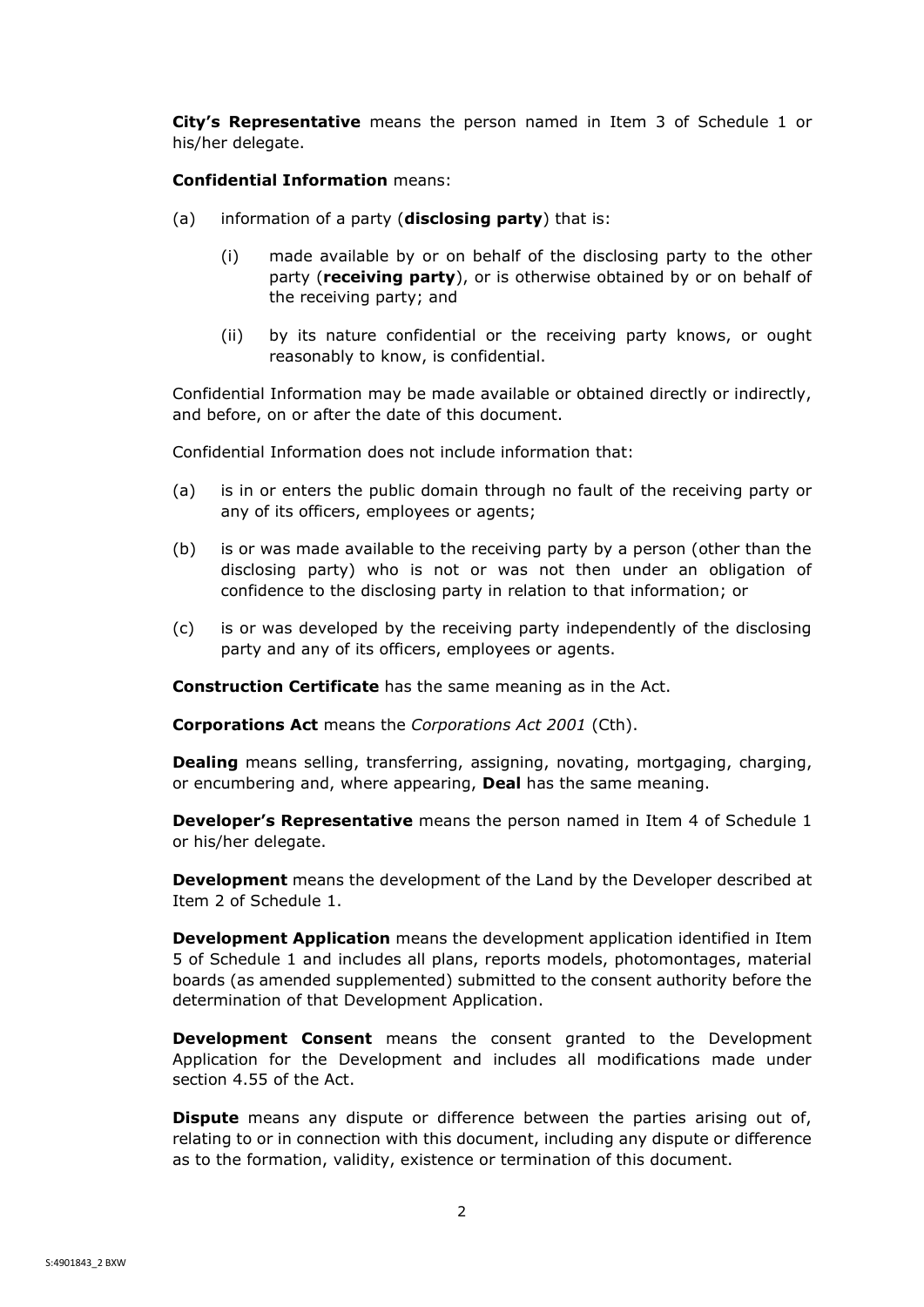**City's Representative** means the person named in Item 3 of [Schedule 1](#page-18-1) or his/her delegate.

**Confidential Information** means:

- (a) information of a party (**disclosing party**) that is:
	- (i) made available by or on behalf of the disclosing party to the other party (**receiving party**), or is otherwise obtained by or on behalf of the receiving party; and
	- (ii) by its nature confidential or the receiving party knows, or ought reasonably to know, is confidential.

Confidential Information may be made available or obtained directly or indirectly, and before, on or after the date of this document.

Confidential Information does not include information that:

- (a) is in or enters the public domain through no fault of the receiving party or any of its officers, employees or agents;
- (b) is or was made available to the receiving party by a person (other than the disclosing party) who is not or was not then under an obligation of confidence to the disclosing party in relation to that information; or
- (c) is or was developed by the receiving party independently of the disclosing party and any of its officers, employees or agents.

**Construction Certificate** has the same meaning as in the Act.

**Corporations Act** means the *Corporations Act 2001* (Cth).

**Dealing** means selling, transferring, assigning, novating, mortgaging, charging, or encumbering and, where appearing, **Deal** has the same meaning.

**Developer's Representative** means the person named in Item 4 of [Schedule 1](#page-18-1) or his/her delegate.

**Development** means the development of the Land by the Developer described at Item 2 of [Schedule 1.](#page-18-1)

**Development Application** means the development application identified in Item 5 of [Schedule 1](#page-18-1) and includes all plans, reports models, photomontages, material boards (as amended supplemented) submitted to the consent authority before the determination of that Development Application.

**Development Consent** means the consent granted to the Development Application for the Development and includes all modifications made under section 4.55 of the Act.

**Dispute** means any dispute or difference between the parties arising out of, relating to or in connection with this document, including any dispute or difference as to the formation, validity, existence or termination of this document.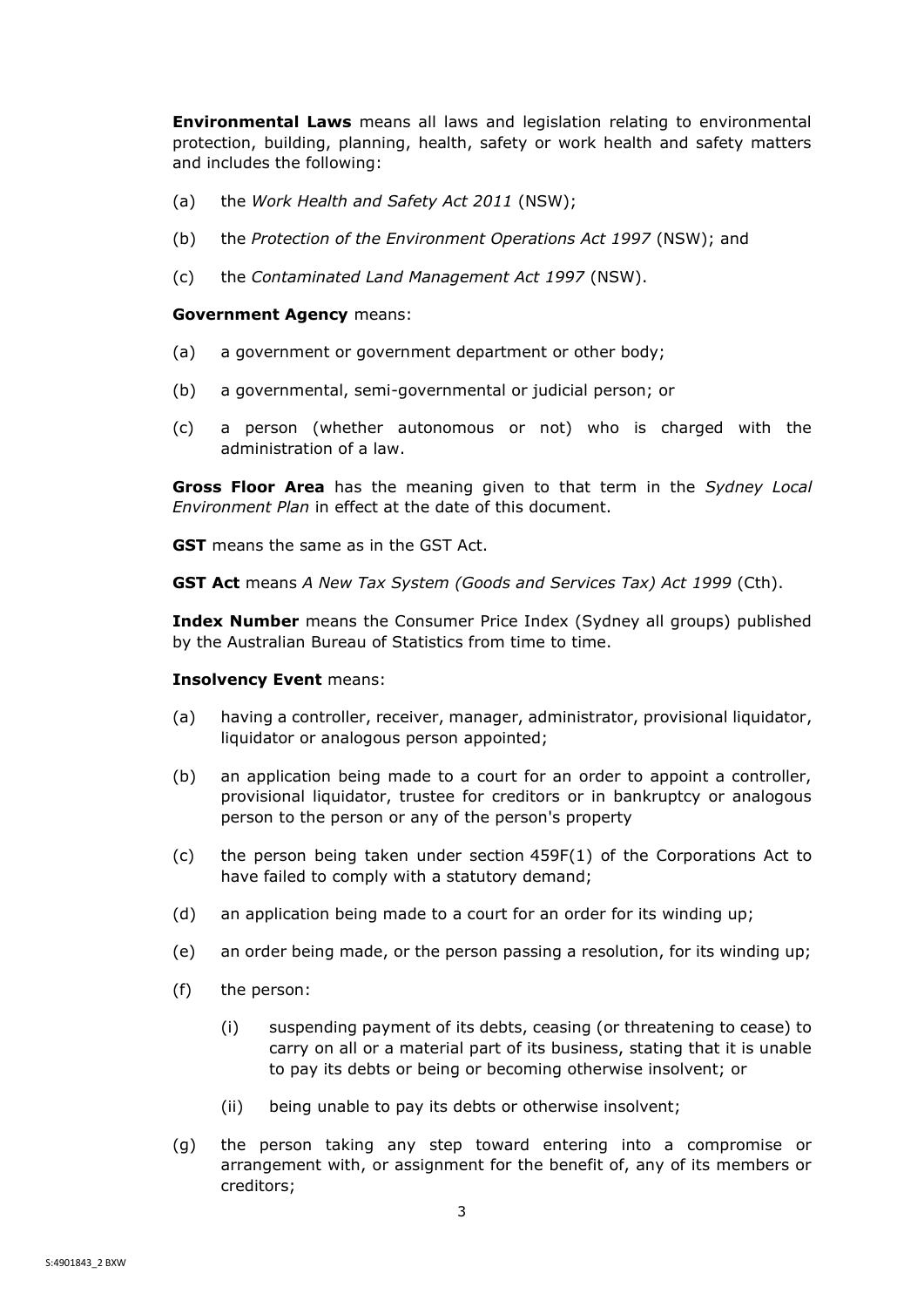**Environmental Laws** means all laws and legislation relating to environmental protection, building, planning, health, safety or work health and safety matters and includes the following:

- (a) the *Work Health and Safety Act 2011* (NSW);
- (b) the *Protection of the Environment Operations Act 1997* (NSW); and
- (c) the *Contaminated Land Management Act 1997* (NSW).

#### **Government Agency** means:

- (a) a government or government department or other body;
- (b) a governmental, semi-governmental or judicial person; or
- (c) a person (whether autonomous or not) who is charged with the administration of a law.

**Gross Floor Area** has the meaning given to that term in the *Sydney Local Environment Plan* in effect at the date of this document.

**GST** means the same as in the GST Act.

**GST Act** means *A New Tax System (Goods and Services Tax) Act 1999* (Cth).

**Index Number** means the Consumer Price Index (Sydney all groups) published by the Australian Bureau of Statistics from time to time.

## **Insolvency Event** means:

- (a) having a controller, receiver, manager, administrator, provisional liquidator, liquidator or analogous person appointed;
- (b) an application being made to a court for an order to appoint a controller, provisional liquidator, trustee for creditors or in bankruptcy or analogous person to the person or any of the person's property
- (c) the person being taken under section 459F(1) of the Corporations Act to have failed to comply with a statutory demand;
- (d) an application being made to a court for an order for its winding up;
- (e) an order being made, or the person passing a resolution, for its winding up;
- (f) the person:
	- (i) suspending payment of its debts, ceasing (or threatening to cease) to carry on all or a material part of its business, stating that it is unable to pay its debts or being or becoming otherwise insolvent; or
	- (ii) being unable to pay its debts or otherwise insolvent;
- (g) the person taking any step toward entering into a compromise or arrangement with, or assignment for the benefit of, any of its members or creditors;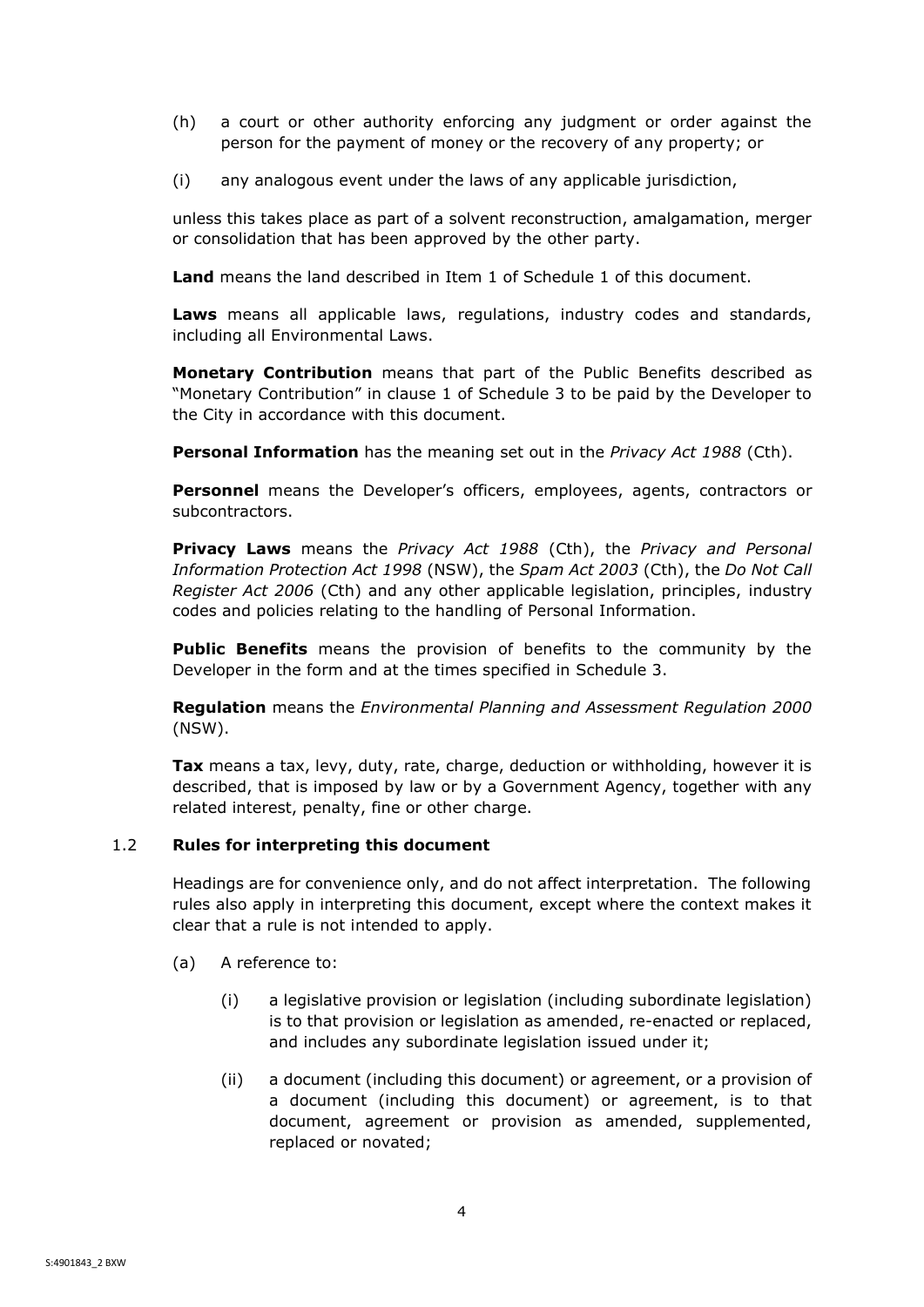- (h) a court or other authority enforcing any judgment or order against the person for the payment of money or the recovery of any property; or
- (i) any analogous event under the laws of any applicable jurisdiction,

unless this takes place as part of a solvent reconstruction, amalgamation, merger or consolidation that has been approved by the other party.

**Land** means the land described in Item 1 of Schedule 1 of this document.

**Laws** means all applicable laws, regulations, industry codes and standards, including all Environmental Laws.

**Monetary Contribution** means that part of the Public Benefits described as "Monetary Contribution" in clause 1 of Schedule 3 to be paid by the Developer to the City in accordance with this document.

**Personal Information** has the meaning set out in the *Privacy Act 1988* (Cth).

**Personnel** means the Developer's officers, employees, agents, contractors or subcontractors.

**Privacy Laws** means the *Privacy Act 1988* (Cth), the *Privacy and Personal Information Protection Act 1998* (NSW), the *Spam Act 2003* (Cth), the *Do Not Call Register Act 2006* (Cth) and any other applicable legislation, principles, industry codes and policies relating to the handling of Personal Information.

**Public Benefits** means the provision of benefits to the community by the Developer in the form and at the times specified in [Schedule 3.](#page-22-6)

**Regulation** means the *Environmental Planning and Assessment Regulation 2000*  (NSW).

**Tax** means a tax, levy, duty, rate, charge, deduction or withholding, however it is described, that is imposed by law or by a Government Agency, together with any related interest, penalty, fine or other charge.

## <span id="page-6-0"></span>1.2 **Rules for interpreting this document**

Headings are for convenience only, and do not affect interpretation. The following rules also apply in interpreting this document, except where the context makes it clear that a rule is not intended to apply.

- (a) A reference to:
	- (i) a legislative provision or legislation (including subordinate legislation) is to that provision or legislation as amended, re-enacted or replaced, and includes any subordinate legislation issued under it;
	- (ii) a document (including this document) or agreement, or a provision of a document (including this document) or agreement, is to that document, agreement or provision as amended, supplemented, replaced or novated;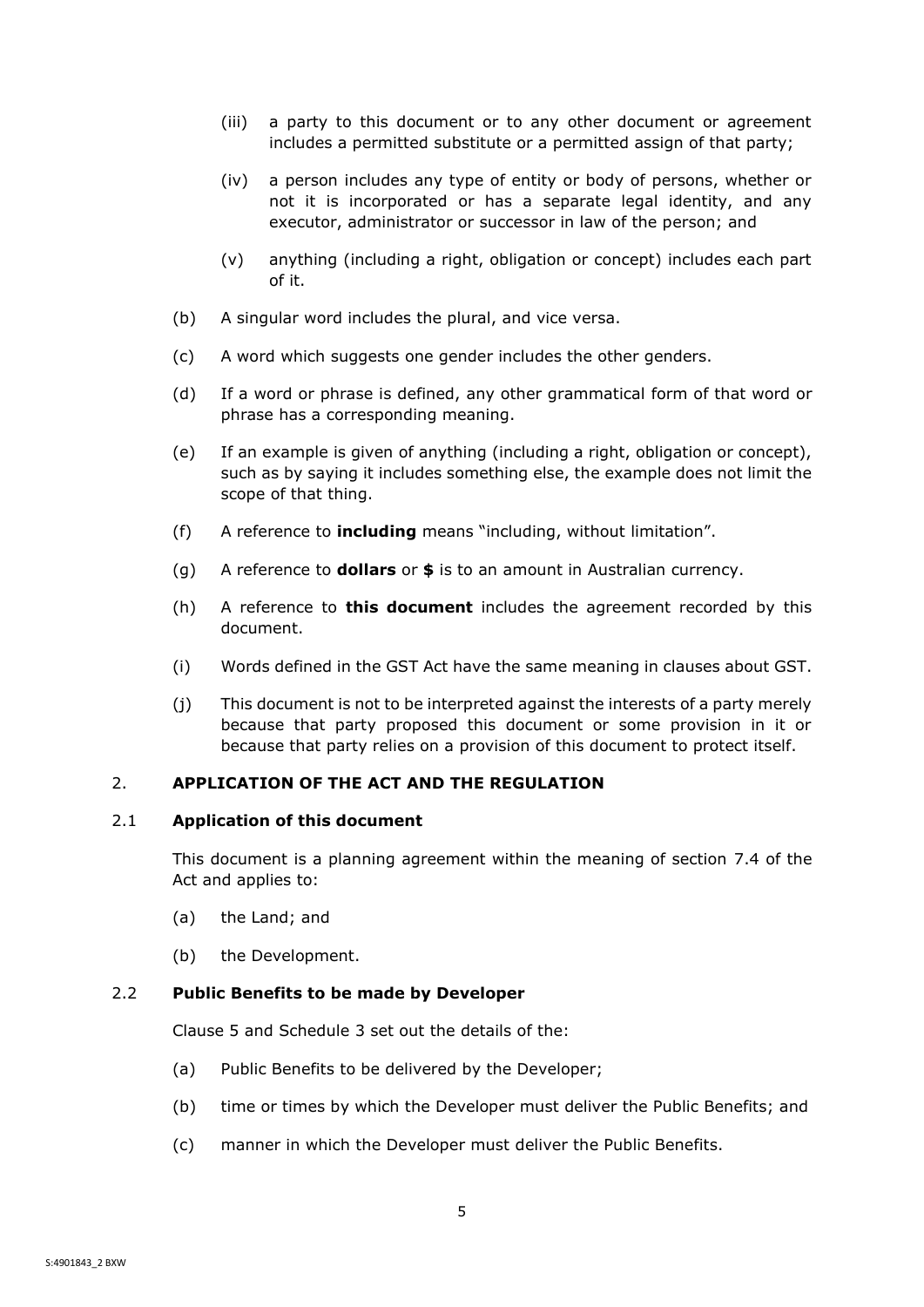- (iii) a party to this document or to any other document or agreement includes a permitted substitute or a permitted assign of that party;
- (iv) a person includes any type of entity or body of persons, whether or not it is incorporated or has a separate legal identity, and any executor, administrator or successor in law of the person; and
- (v) anything (including a right, obligation or concept) includes each part of it.
- (b) A singular word includes the plural, and vice versa.
- (c) A word which suggests one gender includes the other genders.
- (d) If a word or phrase is defined, any other grammatical form of that word or phrase has a corresponding meaning.
- (e) If an example is given of anything (including a right, obligation or concept), such as by saying it includes something else, the example does not limit the scope of that thing.
- (f) A reference to **including** means "including, without limitation".
- (g) A reference to **dollars** or **\$** is to an amount in Australian currency.
- (h) A reference to **this document** includes the agreement recorded by this document.
- (i) Words defined in the GST Act have the same meaning in clauses about GST.
- (j) This document is not to be interpreted against the interests of a party merely because that party proposed this document or some provision in it or because that party relies on a provision of this document to protect itself.

## <span id="page-7-0"></span>2. **APPLICATION OF THE ACT AND THE REGULATION**

#### <span id="page-7-1"></span>2.1 **Application of this document**

This document is a planning agreement within the meaning of section 7.4 of the Act and applies to:

- (a) the Land; and
- (b) the Development.

#### <span id="page-7-2"></span>2.2 **Public Benefits to be made by Developer**

Clause [5](#page-9-1) and [Schedule 3](#page-22-6) set out the details of the:

- (a) Public Benefits to be delivered by the Developer;
- (b) time or times by which the Developer must deliver the Public Benefits; and
- (c) manner in which the Developer must deliver the Public Benefits.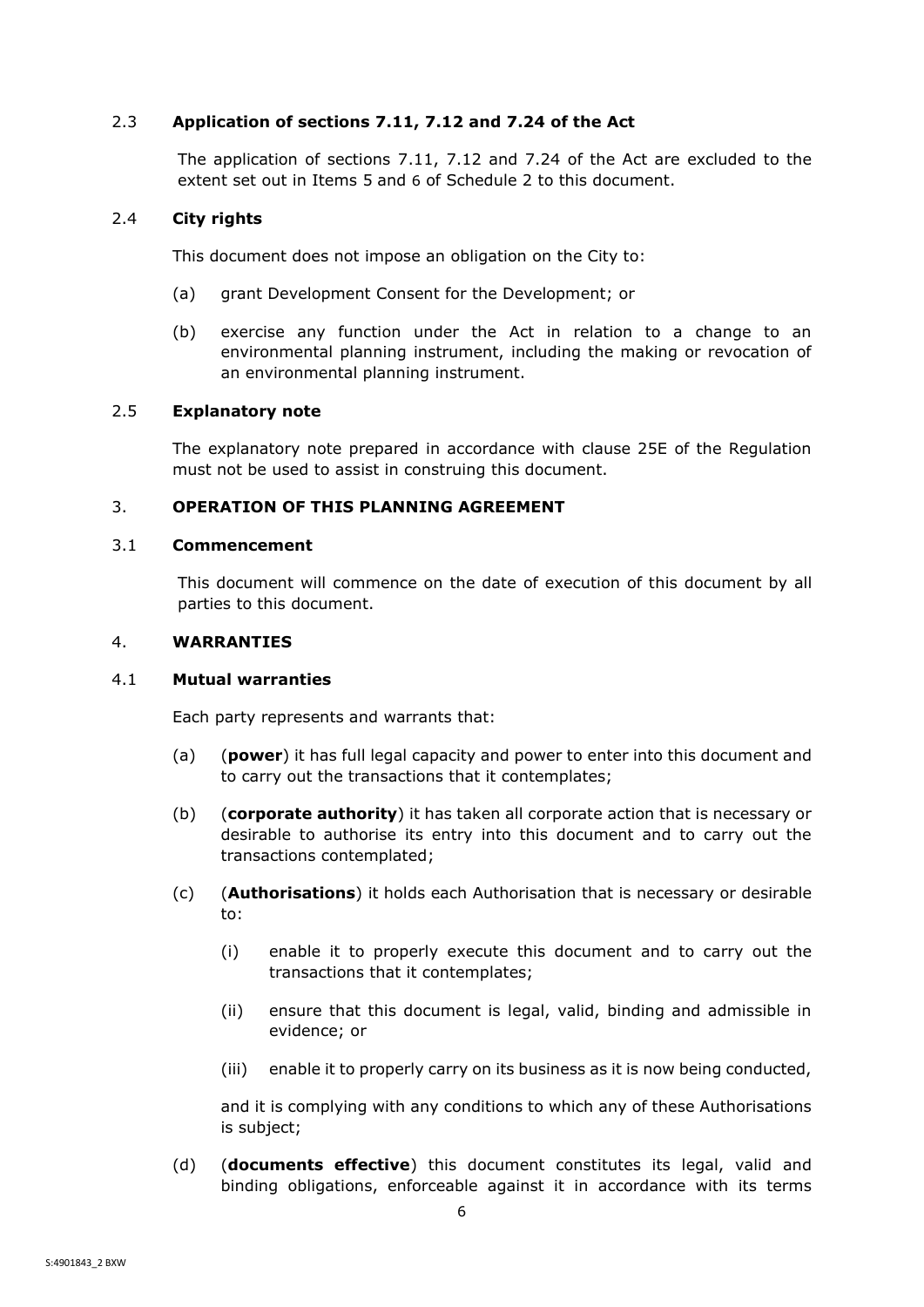## <span id="page-8-0"></span>2.3 **Application of sections 7.11, 7.12 and 7.24 of the Act**

The application of sections 7.11, 7.12 and 7.24 of the Act are excluded to the extent set out in Items [5](#page-20-0) and [6](#page-20-1) of [Schedule 2](#page-19-1) to this document.

## <span id="page-8-1"></span>2.4 **City rights**

This document does not impose an obligation on the City to:

- (a) grant Development Consent for the Development; or
- (b) exercise any function under the Act in relation to a change to an environmental planning instrument, including the making or revocation of an environmental planning instrument.

## <span id="page-8-2"></span>2.5 **Explanatory note**

The explanatory note prepared in accordance with clause 25E of the Regulation must not be used to assist in construing this document.

## <span id="page-8-3"></span>3. **OPERATION OF THIS PLANNING AGREEMENT**

#### <span id="page-8-4"></span>3.1 **Commencement**

This document will commence on the date of execution of this document by all parties to this document.

## <span id="page-8-5"></span>4. **WARRANTIES**

## <span id="page-8-6"></span>4.1 **Mutual warranties**

Each party represents and warrants that:

- (a) (**power**) it has full legal capacity and power to enter into this document and to carry out the transactions that it contemplates;
- (b) (**corporate authority**) it has taken all corporate action that is necessary or desirable to authorise its entry into this document and to carry out the transactions contemplated;
- (c) (**Authorisations**) it holds each Authorisation that is necessary or desirable to:
	- (i) enable it to properly execute this document and to carry out the transactions that it contemplates;
	- (ii) ensure that this document is legal, valid, binding and admissible in evidence; or
	- (iii) enable it to properly carry on its business as it is now being conducted,

and it is complying with any conditions to which any of these Authorisations is subject;

(d) (**documents effective**) this document constitutes its legal, valid and binding obligations, enforceable against it in accordance with its terms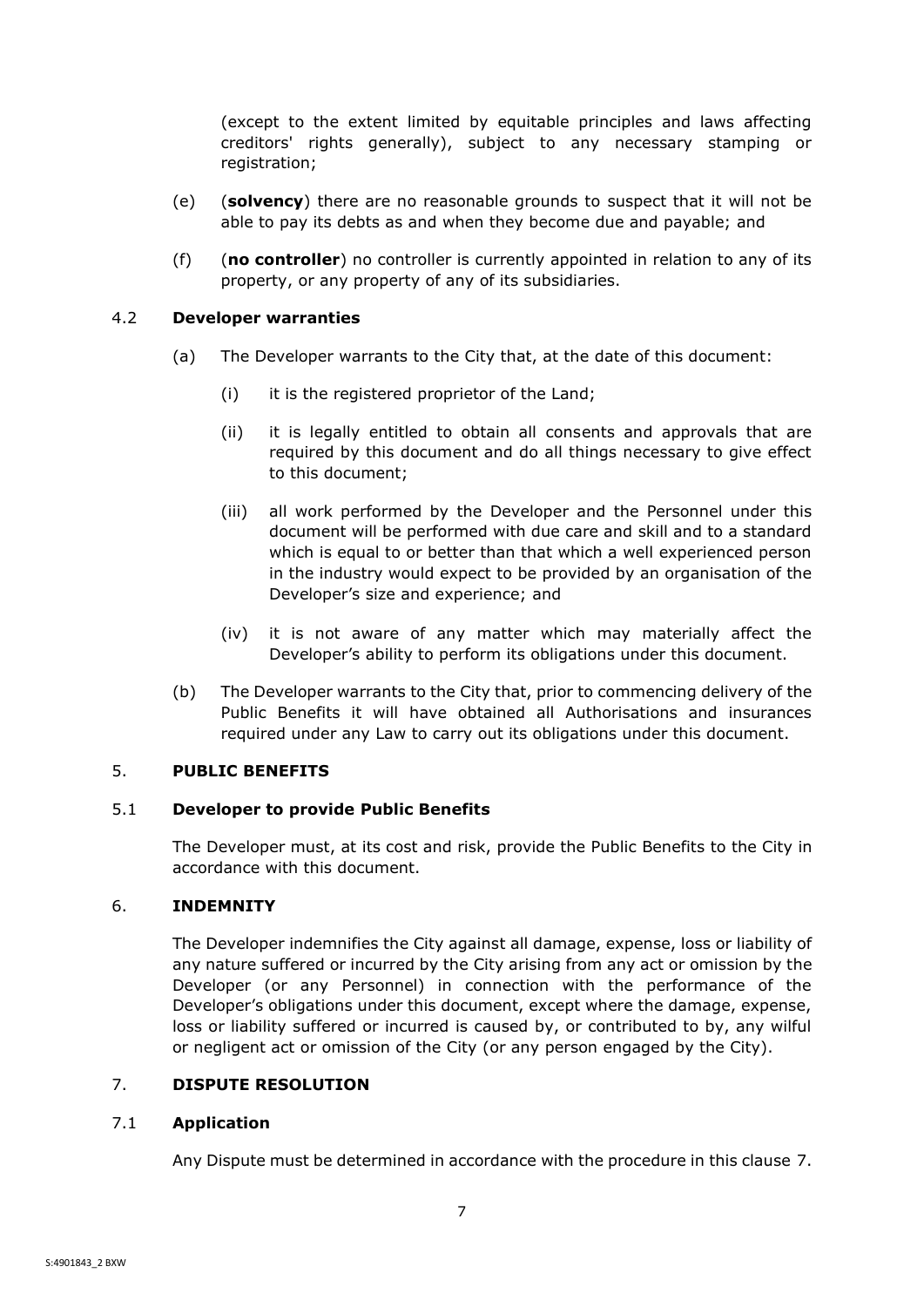(except to the extent limited by equitable principles and laws affecting creditors' rights generally), subject to any necessary stamping or registration;

- (e) (**solvency**) there are no reasonable grounds to suspect that it will not be able to pay its debts as and when they become due and payable; and
- (f) (**no controller**) no controller is currently appointed in relation to any of its property, or any property of any of its subsidiaries.

## <span id="page-9-0"></span>4.2 **Developer warranties**

- (a) The Developer warrants to the City that, at the date of this document:
	- (i) it is the registered proprietor of the Land;
	- (ii) it is legally entitled to obtain all consents and approvals that are required by this document and do all things necessary to give effect to this document;
	- (iii) all work performed by the Developer and the Personnel under this document will be performed with due care and skill and to a standard which is equal to or better than that which a well experienced person in the industry would expect to be provided by an organisation of the Developer's size and experience; and
	- (iv) it is not aware of any matter which may materially affect the Developer's ability to perform its obligations under this document.
- (b) The Developer warrants to the City that, prior to commencing delivery of the Public Benefits it will have obtained all Authorisations and insurances required under any Law to carry out its obligations under this document.

## <span id="page-9-1"></span>5. **PUBLIC BENEFITS**

## <span id="page-9-2"></span>5.1 **Developer to provide Public Benefits**

The Developer must, at its cost and risk, provide the Public Benefits to the City in accordance with this document.

## <span id="page-9-3"></span>6. **INDEMNITY**

The Developer indemnifies the City against all damage, expense, loss or liability of any nature suffered or incurred by the City arising from any act or omission by the Developer (or any Personnel) in connection with the performance of the Developer's obligations under this document, except where the damage, expense, loss or liability suffered or incurred is caused by, or contributed to by, any wilful or negligent act or omission of the City (or any person engaged by the City).

## <span id="page-9-4"></span>7. **DISPUTE RESOLUTION**

## <span id="page-9-5"></span>7.1 **Application**

Any Dispute must be determined in accordance with the procedure in this clause [7.](#page-9-4)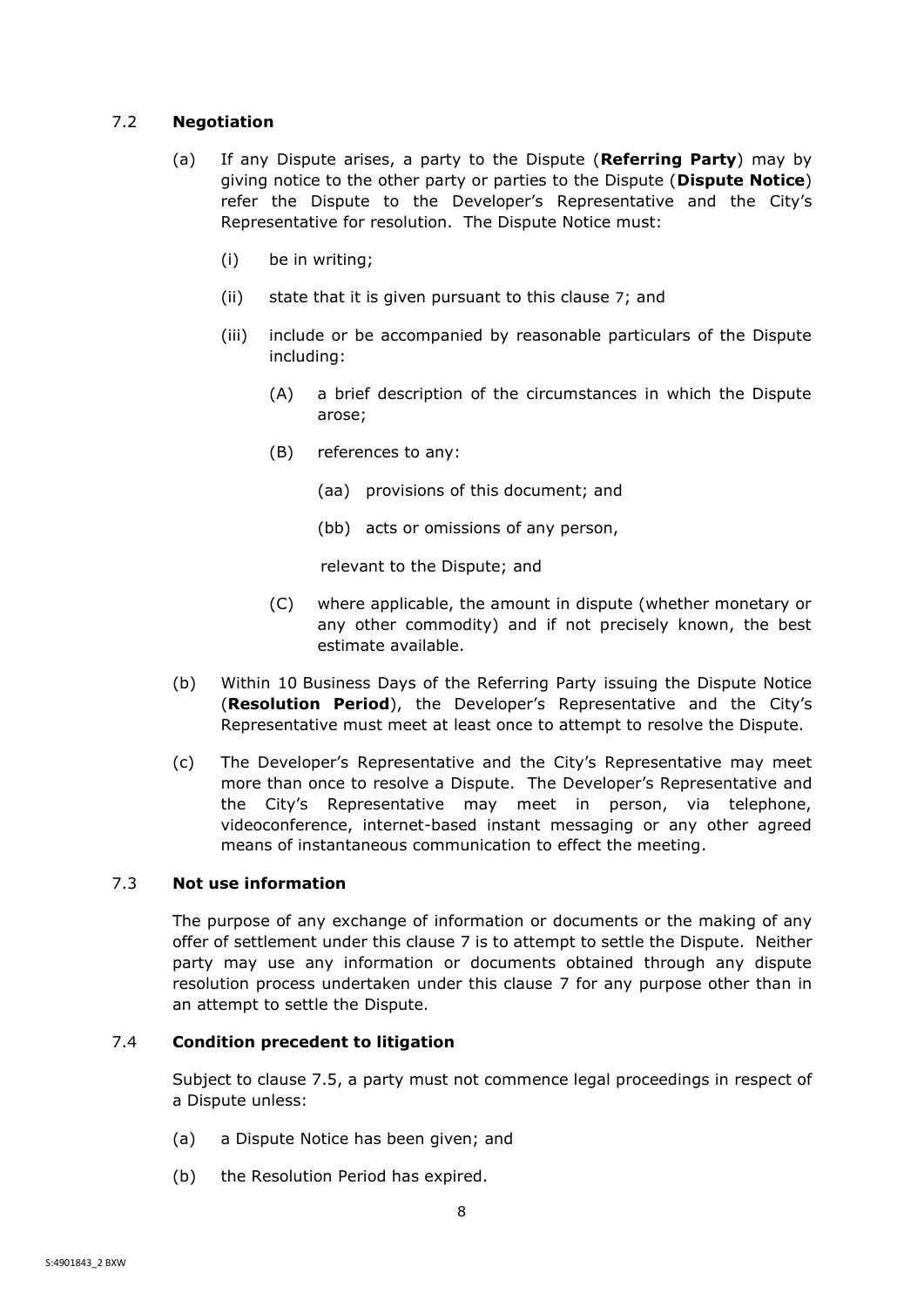## <span id="page-10-0"></span>7.2 **Negotiation**

- (a) If any Dispute arises, a party to the Dispute (**Referring Party**) may by giving notice to the other party or parties to the Dispute (**Dispute Notice**) refer the Dispute to the Developer's Representative and the City's Representative for resolution. The Dispute Notice must:
	- (i) be in writing;
	- (ii) state that it is given pursuant to this clause [7](#page-9-4); and
	- (iii) include or be accompanied by reasonable particulars of the Dispute including:
		- (A) a brief description of the circumstances in which the Dispute arose;
		- (B) references to any:
			- (aa) provisions of this document; and
			- (bb) acts or omissions of any person,

relevant to the Dispute; and

- (C) where applicable, the amount in dispute (whether monetary or any other commodity) and if not precisely known, the best estimate available.
- (b) Within 10 Business Days of the Referring Party issuing the Dispute Notice (**Resolution Period**), the Developer's Representative and the City's Representative must meet at least once to attempt to resolve the Dispute.
- (c) The Developer's Representative and the City's Representative may meet more than once to resolve a Dispute. The Developer's Representative and the City's Representative may meet in person, via telephone, videoconference, internet-based instant messaging or any other agreed means of instantaneous communication to effect the meeting.

## <span id="page-10-1"></span>7.3 **Not use information**

The purpose of any exchange of information or documents or the making of any offer of settlement under this clause [7](#page-9-4) is to attempt to settle the Dispute. Neither party may use any information or documents obtained through any dispute resolution process undertaken under this clause [7](#page-9-4) for any purpose other than in an attempt to settle the Dispute.

## <span id="page-10-2"></span>7.4 **Condition precedent to litigation**

Subject to clause [7.5,](#page-11-0) a party must not commence legal proceedings in respect of a Dispute unless:

- (a) a Dispute Notice has been given; and
- (b) the Resolution Period has expired.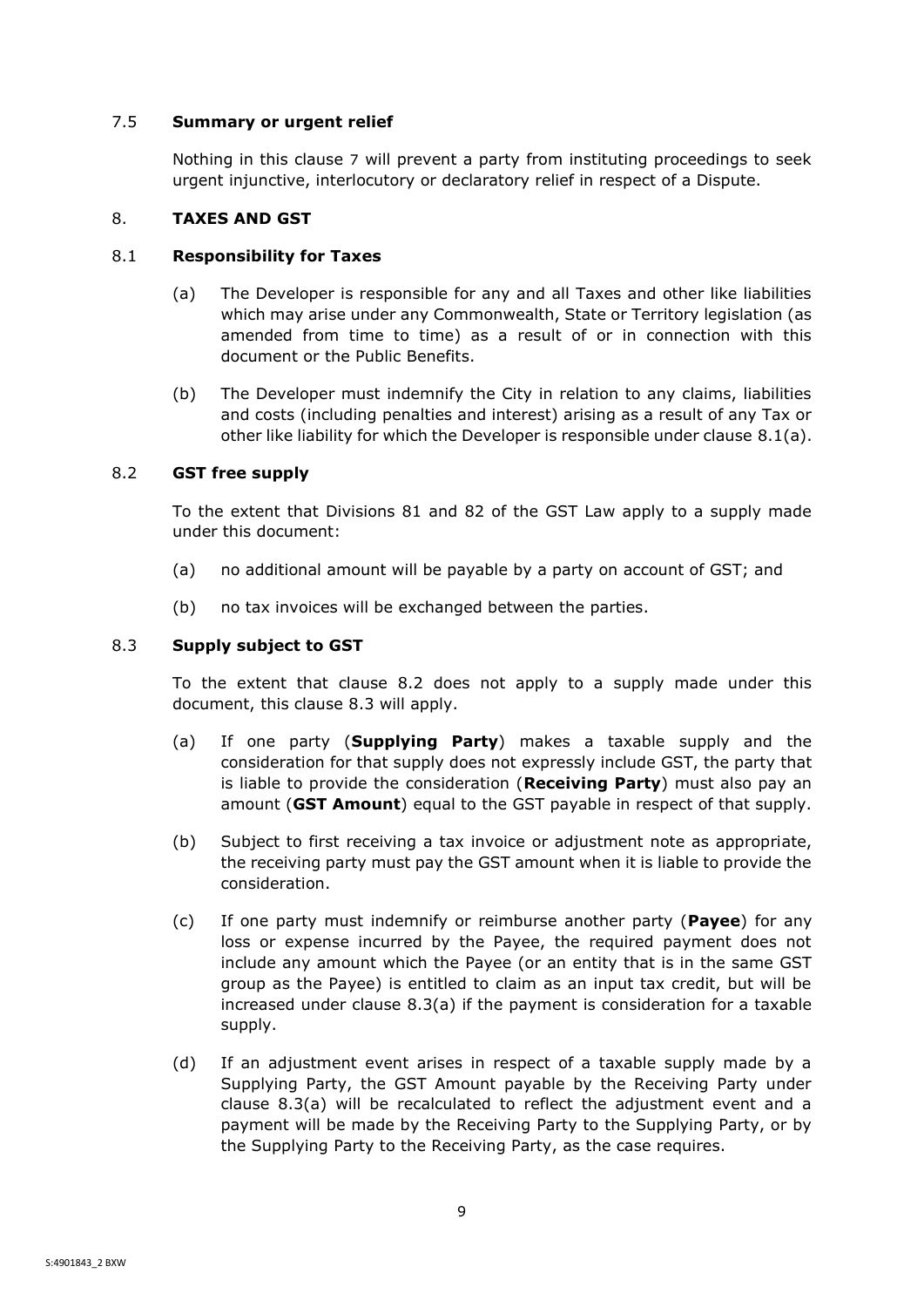## <span id="page-11-0"></span>7.5 **Summary or urgent relief**

Nothing in this clause [7](#page-9-4) will prevent a party from instituting proceedings to seek urgent injunctive, interlocutory or declaratory relief in respect of a Dispute.

## <span id="page-11-1"></span>8. **TAXES AND GST**

## <span id="page-11-5"></span><span id="page-11-2"></span>8.1 **Responsibility for Taxes**

- (a) The Developer is responsible for any and all Taxes and other like liabilities which may arise under any Commonwealth, State or Territory legislation (as amended from time to time) as a result of or in connection with this document or the Public Benefits.
- (b) The Developer must indemnify the City in relation to any claims, liabilities and costs (including penalties and interest) arising as a result of any Tax or other like liability for which the Developer is responsible under clause [8.1\(a\).](#page-11-5)

## <span id="page-11-3"></span>8.2 **GST free supply**

To the extent that Divisions 81 and 82 of the GST Law apply to a supply made under this document:

- (a) no additional amount will be payable by a party on account of GST; and
- (b) no tax invoices will be exchanged between the parties.

## <span id="page-11-4"></span>8.3 **Supply subject to GST**

To the extent that clause [8.2](#page-11-3) does not apply to a supply made under this document, this clause [8.3](#page-11-4) will apply.

- <span id="page-11-6"></span>(a) If one party (**Supplying Party**) makes a taxable supply and the consideration for that supply does not expressly include GST, the party that is liable to provide the consideration (**Receiving Party**) must also pay an amount (**GST Amount**) equal to the GST payable in respect of that supply.
- (b) Subject to first receiving a tax invoice or adjustment note as appropriate, the receiving party must pay the GST amount when it is liable to provide the consideration.
- (c) If one party must indemnify or reimburse another party (**Payee**) for any loss or expense incurred by the Payee, the required payment does not include any amount which the Payee (or an entity that is in the same GST group as the Payee) is entitled to claim as an input tax credit, but will be increased under clause  $8.3(a)$  if the payment is consideration for a taxable supply.
- (d) If an adjustment event arises in respect of a taxable supply made by a Supplying Party, the GST Amount payable by the Receiving Party under clause [8.3\(a\)](#page-11-6) will be recalculated to reflect the adjustment event and a payment will be made by the Receiving Party to the Supplying Party, or by the Supplying Party to the Receiving Party, as the case requires.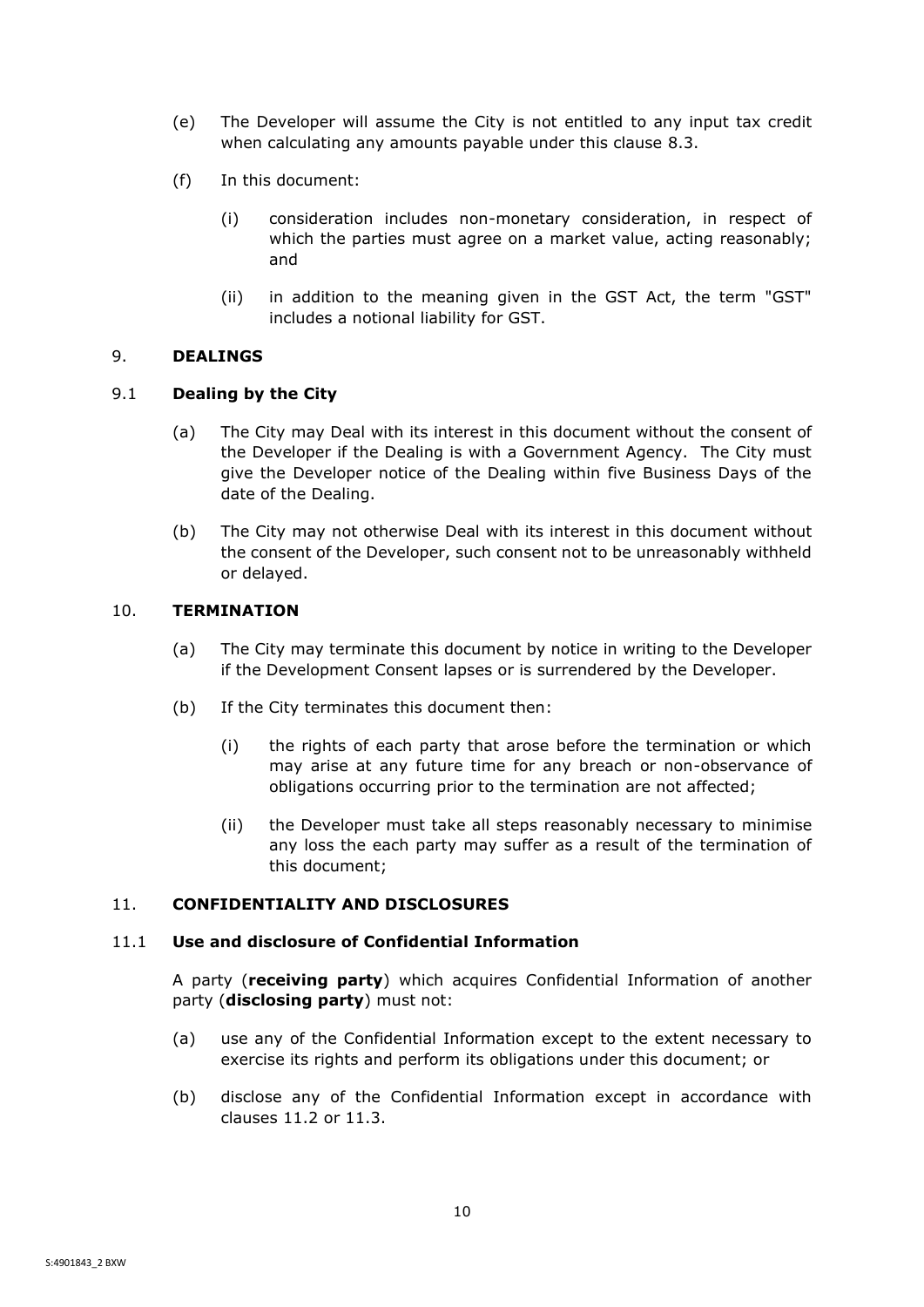- (e) The Developer will assume the City is not entitled to any input tax credit when calculating any amounts payable under this clause [8.3.](#page-11-4)
- (f) In this document:
	- (i) consideration includes non-monetary consideration, in respect of which the parties must agree on a market value, acting reasonably; and
	- (ii) in addition to the meaning given in the GST Act, the term "GST" includes a notional liability for GST.

## <span id="page-12-0"></span>9. **DEALINGS**

## <span id="page-12-1"></span>9.1 **Dealing by the City**

- (a) The City may Deal with its interest in this document without the consent of the Developer if the Dealing is with a Government Agency. The City must give the Developer notice of the Dealing within five Business Days of the date of the Dealing.
- (b) The City may not otherwise Deal with its interest in this document without the consent of the Developer, such consent not to be unreasonably withheld or delayed.

## <span id="page-12-2"></span>10. **TERMINATION**

- (a) The City may terminate this document by notice in writing to the Developer if the Development Consent lapses or is surrendered by the Developer.
- (b) If the City terminates this document then:
	- (i) the rights of each party that arose before the termination or which may arise at any future time for any breach or non-observance of obligations occurring prior to the termination are not affected;
	- (ii) the Developer must take all steps reasonably necessary to minimise any loss the each party may suffer as a result of the termination of this document;

## <span id="page-12-3"></span>11. **CONFIDENTIALITY AND DISCLOSURES**

## <span id="page-12-4"></span>11.1 **Use and disclosure of Confidential Information**

A party (**receiving party**) which acquires Confidential Information of another party (**disclosing party**) must not:

- (a) use any of the Confidential Information except to the extent necessary to exercise its rights and perform its obligations under this document; or
- (b) disclose any of the Confidential Information except in accordance with clauses [11.2](#page-13-0) or [11.3.](#page-13-1)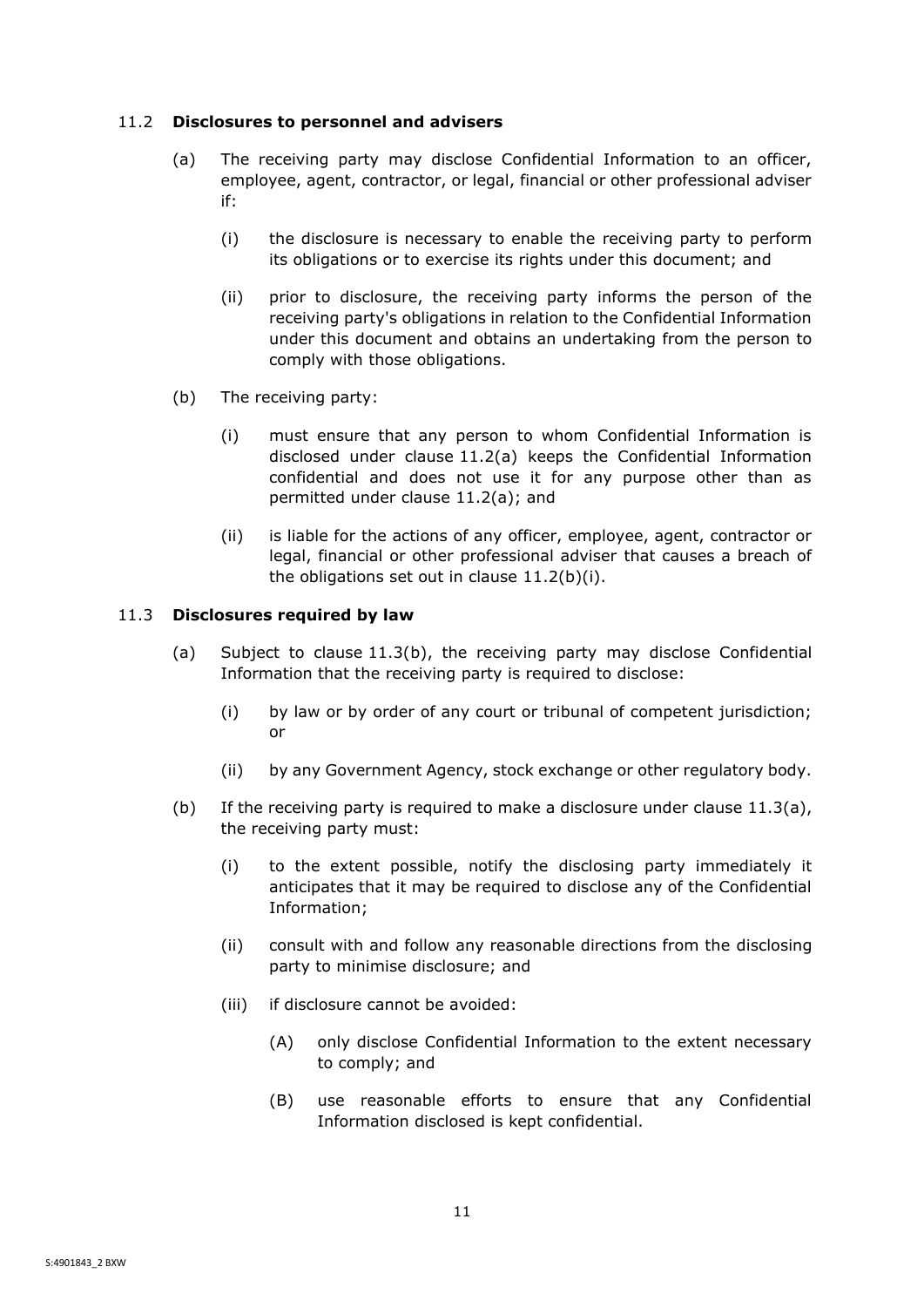## <span id="page-13-2"></span><span id="page-13-0"></span>11.2 **Disclosures to personnel and advisers**

- (a) The receiving party may disclose Confidential Information to an officer, employee, agent, contractor, or legal, financial or other professional adviser if:
	- (i) the disclosure is necessary to enable the receiving party to perform its obligations or to exercise its rights under this document; and
	- (ii) prior to disclosure, the receiving party informs the person of the receiving party's obligations in relation to the Confidential Information under this document and obtains an undertaking from the person to comply with those obligations.
- <span id="page-13-3"></span>(b) The receiving party:
	- (i) must ensure that any person to whom Confidential Information is disclosed under clause [11.2\(a\)](#page-13-2) keeps the Confidential Information confidential and does not use it for any purpose other than as permitted under clause [11.2\(a\);](#page-13-2) and
	- (ii) is liable for the actions of any officer, employee, agent, contractor or legal, financial or other professional adviser that causes a breach of the obligations set out in clause [11.2\(b\)\(i\).](#page-13-3)

## <span id="page-13-5"></span><span id="page-13-1"></span>11.3 **Disclosures required by law**

- (a) Subject to clause [11.3](#page-13-1)[\(b\),](#page-13-4) the receiving party may disclose Confidential Information that the receiving party is required to disclose:
	- (i) by law or by order of any court or tribunal of competent jurisdiction; or
	- (ii) by any Government Agency, stock exchange or other regulatory body.
- <span id="page-13-4"></span>(b) If the receiving party is required to make a disclosure under clause  $11.3(a)$ , the receiving party must:
	- (i) to the extent possible, notify the disclosing party immediately it anticipates that it may be required to disclose any of the Confidential Information;
	- (ii) consult with and follow any reasonable directions from the disclosing party to minimise disclosure; and
	- (iii) if disclosure cannot be avoided:
		- (A) only disclose Confidential Information to the extent necessary to comply; and
		- (B) use reasonable efforts to ensure that any Confidential Information disclosed is kept confidential.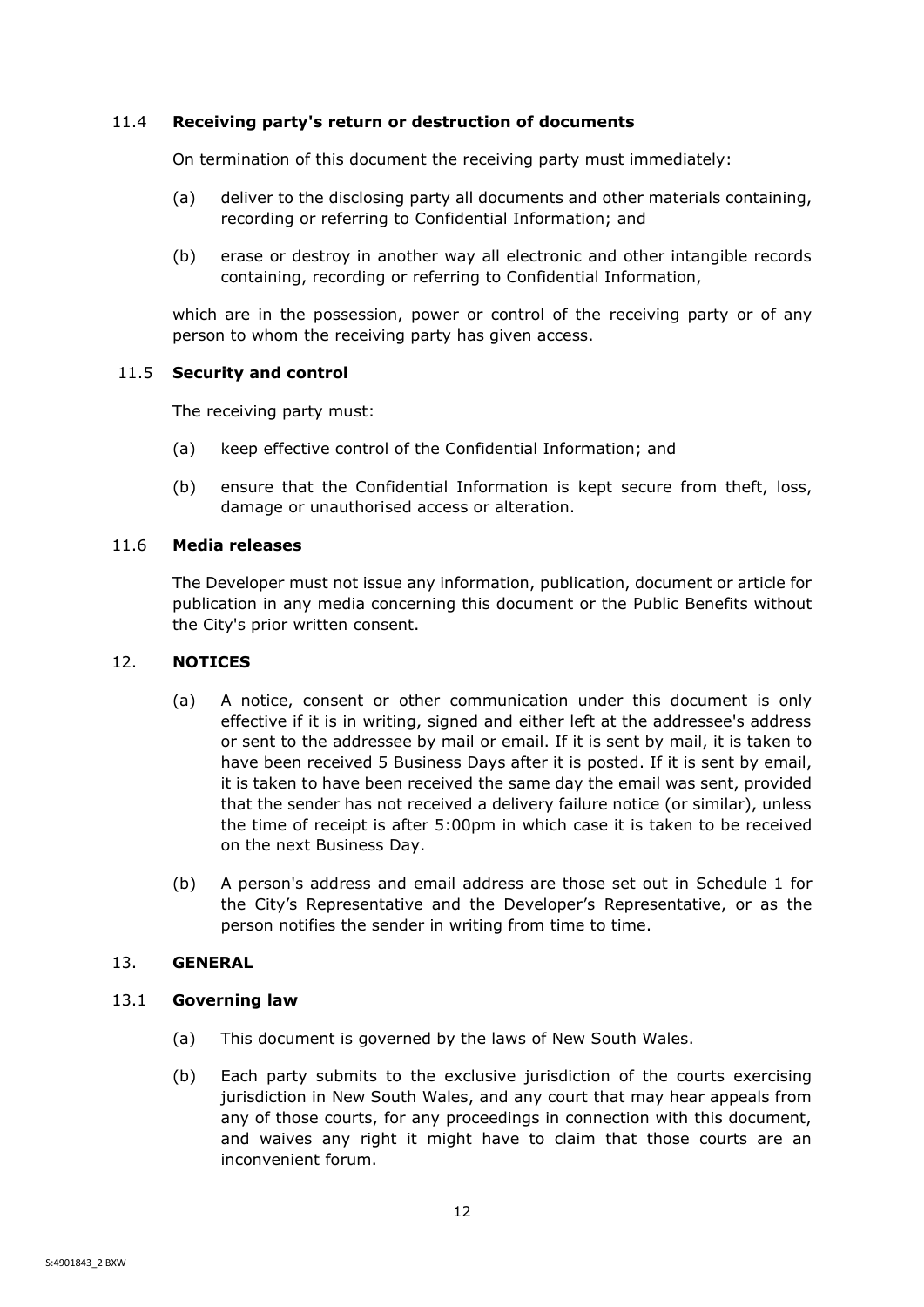## <span id="page-14-0"></span>11.4 **Receiving party's return or destruction of documents**

On termination of this document the receiving party must immediately:

- (a) deliver to the disclosing party all documents and other materials containing, recording or referring to Confidential Information; and
- (b) erase or destroy in another way all electronic and other intangible records containing, recording or referring to Confidential Information,

which are in the possession, power or control of the receiving party or of any person to whom the receiving party has given access.

## <span id="page-14-1"></span>11.5 **Security and control**

The receiving party must:

- (a) keep effective control of the Confidential Information; and
- (b) ensure that the Confidential Information is kept secure from theft, loss, damage or unauthorised access or alteration.

## <span id="page-14-2"></span>11.6 **Media releases**

The Developer must not issue any information, publication, document or article for publication in any media concerning this document or the Public Benefits without the City's prior written consent.

## <span id="page-14-3"></span>12. **NOTICES**

- (a) A notice, consent or other communication under this document is only effective if it is in writing, signed and either left at the addressee's address or sent to the addressee by mail or email. If it is sent by mail, it is taken to have been received 5 Business Days after it is posted. If it is sent by email, it is taken to have been received the same day the email was sent, provided that the sender has not received a delivery failure notice (or similar), unless the time of receipt is after 5:00pm in which case it is taken to be received on the next Business Day.
- (b) A person's address and email address are those set out in [Schedule 1](#page-18-1) for the City's Representative and the Developer's Representative, or as the person notifies the sender in writing from time to time.

## <span id="page-14-4"></span>13. **GENERAL**

## <span id="page-14-5"></span>13.1 **Governing law**

- (a) This document is governed by the laws of New South Wales.
- (b) Each party submits to the exclusive jurisdiction of the courts exercising jurisdiction in New South Wales, and any court that may hear appeals from any of those courts, for any proceedings in connection with this document, and waives any right it might have to claim that those courts are an inconvenient forum.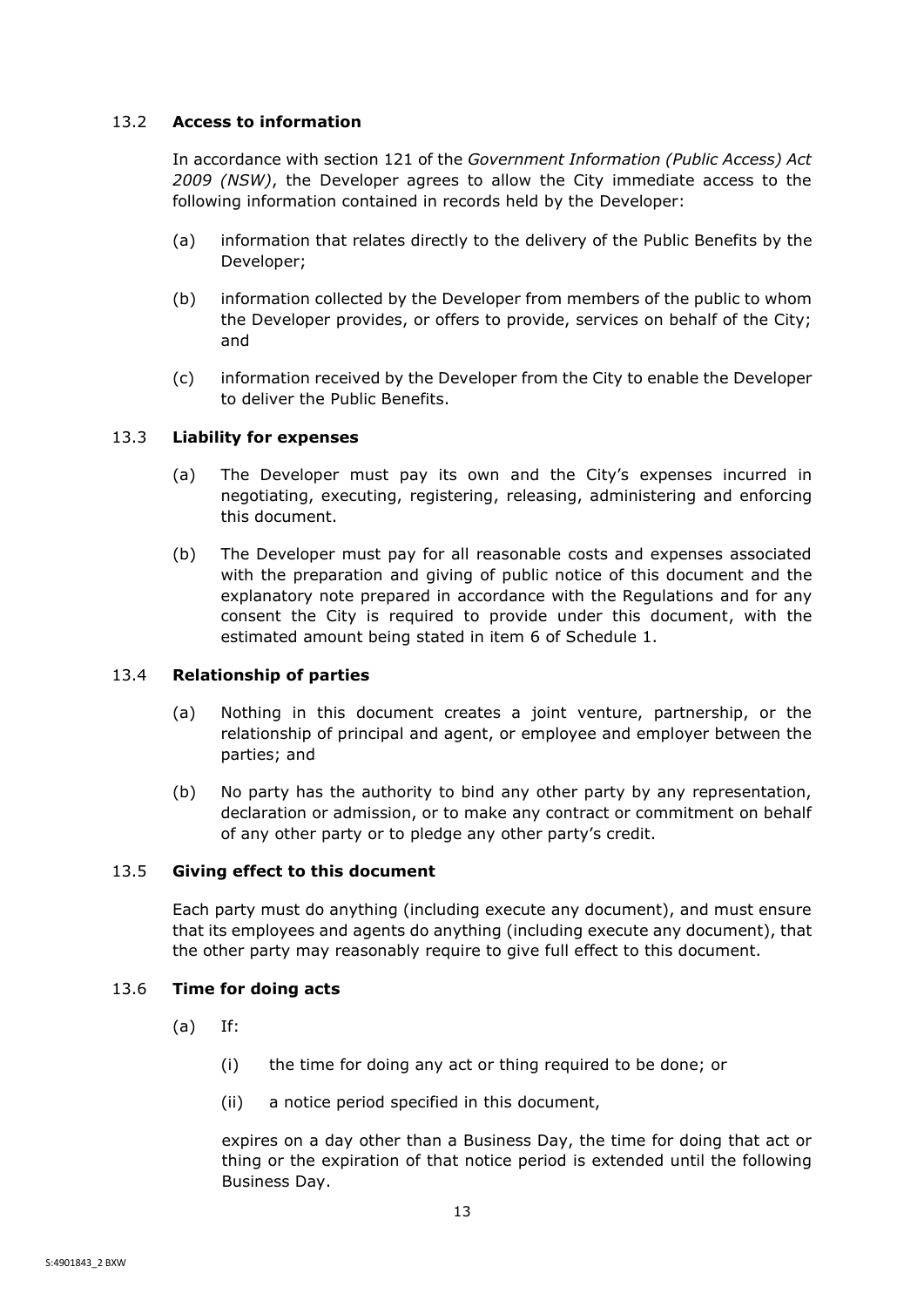## <span id="page-15-0"></span>13.2 **Access to information**

In accordance with section 121 of the *Government Information (Public Access) Act 2009 (NSW)*, the Developer agrees to allow the City immediate access to the following information contained in records held by the Developer:

- (a) information that relates directly to the delivery of the Public Benefits by the Developer;
- (b) information collected by the Developer from members of the public to whom the Developer provides, or offers to provide, services on behalf of the City; and
- (c) information received by the Developer from the City to enable the Developer to deliver the Public Benefits.

## <span id="page-15-1"></span>13.3 **Liability for expenses**

- (a) The Developer must pay its own and the City's expenses incurred in negotiating, executing, registering, releasing, administering and enforcing this document.
- (b) The Developer must pay for all reasonable costs and expenses associated with the preparation and giving of public notice of this document and the explanatory note prepared in accordance with the Regulations and for any consent the City is required to provide under this document, with the estimated amount being stated in item 6 of Schedule 1.

## <span id="page-15-2"></span>13.4 **Relationship of parties**

- (a) Nothing in this document creates a joint venture, partnership, or the relationship of principal and agent, or employee and employer between the parties; and
- (b) No party has the authority to bind any other party by any representation, declaration or admission, or to make any contract or commitment on behalf of any other party or to pledge any other party's credit.

## <span id="page-15-3"></span>13.5 **Giving effect to this document**

Each party must do anything (including execute any document), and must ensure that its employees and agents do anything (including execute any document), that the other party may reasonably require to give full effect to this document.

## <span id="page-15-4"></span>13.6 **Time for doing acts**

- (a) If:
	- (i) the time for doing any act or thing required to be done; or
	- (ii) a notice period specified in this document,

expires on a day other than a Business Day, the time for doing that act or thing or the expiration of that notice period is extended until the following Business Day.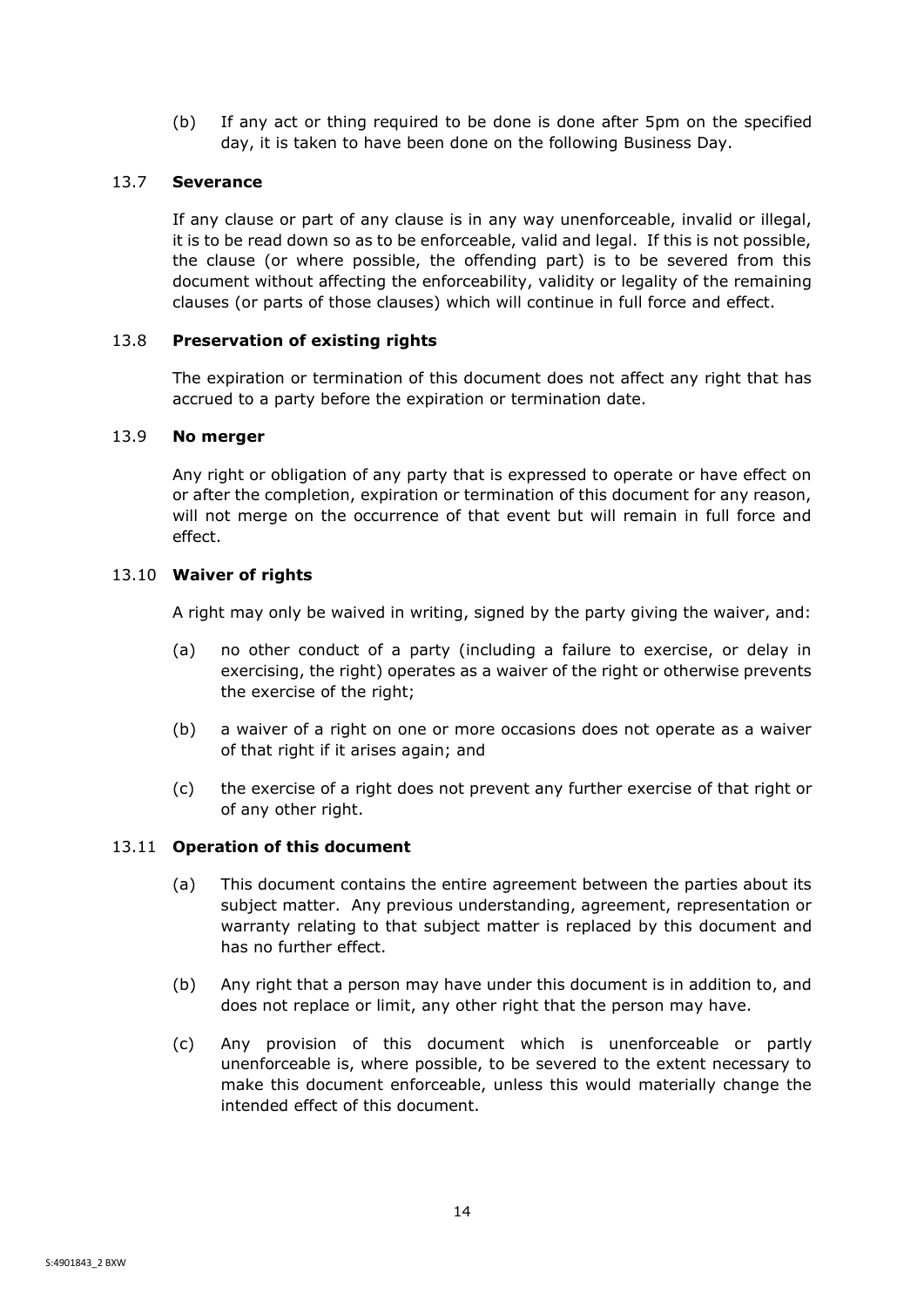(b) If any act or thing required to be done is done after 5pm on the specified day, it is taken to have been done on the following Business Day.

## <span id="page-16-0"></span>13.7 **Severance**

If any clause or part of any clause is in any way unenforceable, invalid or illegal, it is to be read down so as to be enforceable, valid and legal. If this is not possible, the clause (or where possible, the offending part) is to be severed from this document without affecting the enforceability, validity or legality of the remaining clauses (or parts of those clauses) which will continue in full force and effect.

## <span id="page-16-1"></span>13.8 **Preservation of existing rights**

The expiration or termination of this document does not affect any right that has accrued to a party before the expiration or termination date.

## <span id="page-16-2"></span>13.9 **No merger**

Any right or obligation of any party that is expressed to operate or have effect on or after the completion, expiration or termination of this document for any reason, will not merge on the occurrence of that event but will remain in full force and effect.

## <span id="page-16-3"></span>13.10 **Waiver of rights**

A right may only be waived in writing, signed by the party giving the waiver, and:

- (a) no other conduct of a party (including a failure to exercise, or delay in exercising, the right) operates as a waiver of the right or otherwise prevents the exercise of the right;
- (b) a waiver of a right on one or more occasions does not operate as a waiver of that right if it arises again; and
- (c) the exercise of a right does not prevent any further exercise of that right or of any other right.

## <span id="page-16-4"></span>13.11 **Operation of this document**

- (a) This document contains the entire agreement between the parties about its subject matter. Any previous understanding, agreement, representation or warranty relating to that subject matter is replaced by this document and has no further effect.
- (b) Any right that a person may have under this document is in addition to, and does not replace or limit, any other right that the person may have.
- (c) Any provision of this document which is unenforceable or partly unenforceable is, where possible, to be severed to the extent necessary to make this document enforceable, unless this would materially change the intended effect of this document.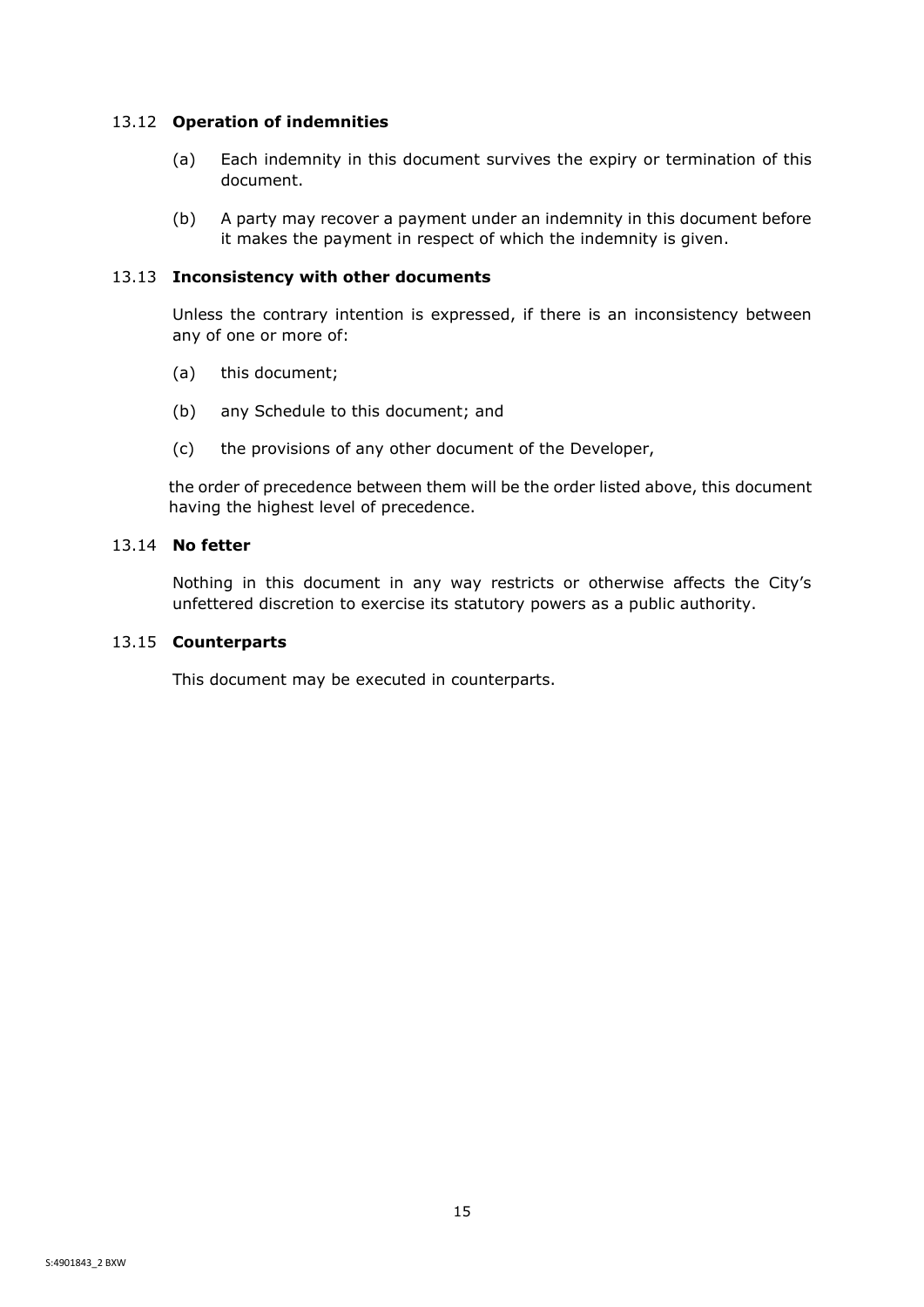## <span id="page-17-0"></span>13.12 **Operation of indemnities**

- (a) Each indemnity in this document survives the expiry or termination of this document.
- (b) A party may recover a payment under an indemnity in this document before it makes the payment in respect of which the indemnity is given.

## <span id="page-17-1"></span>13.13 **Inconsistency with other documents**

Unless the contrary intention is expressed, if there is an inconsistency between any of one or more of:

- (a) this document;
- (b) any Schedule to this document; and
- (c) the provisions of any other document of the Developer,

the order of precedence between them will be the order listed above, this document having the highest level of precedence.

## <span id="page-17-2"></span>13.14 **No fetter**

Nothing in this document in any way restricts or otherwise affects the City's unfettered discretion to exercise its statutory powers as a public authority.

## <span id="page-17-3"></span>13.15 **Counterparts**

This document may be executed in counterparts.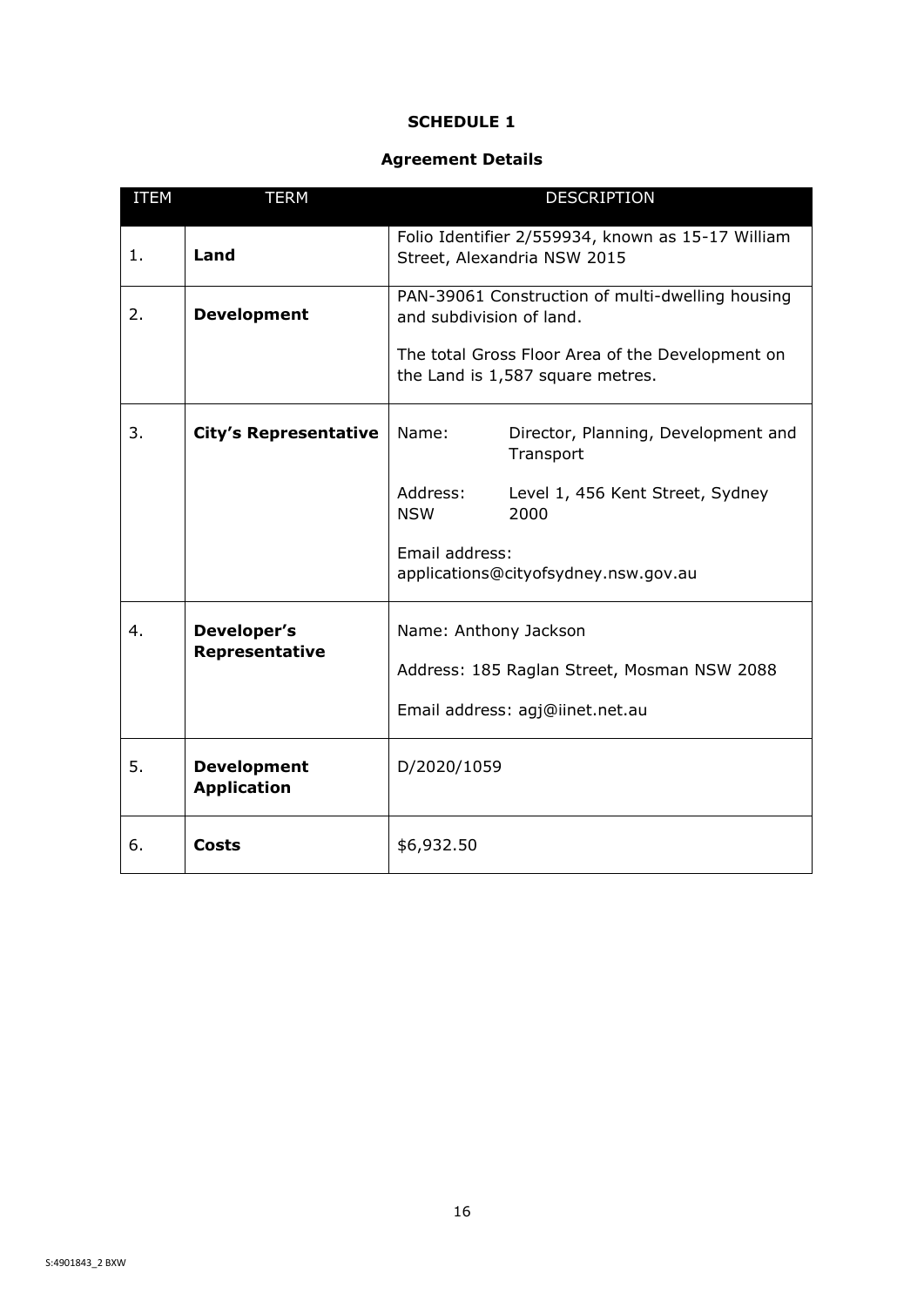## **SCHEDULE 1**

## **Agreement Details**

<span id="page-18-1"></span><span id="page-18-0"></span>

| <b>ITEM</b> | <b>TERM</b>                              | <b>DESCRIPTION</b>                                                           |                                                                                      |
|-------------|------------------------------------------|------------------------------------------------------------------------------|--------------------------------------------------------------------------------------|
| 1.          | Land                                     |                                                                              | Folio Identifier 2/559934, known as 15-17 William<br>Street, Alexandria NSW 2015     |
| 2.          | <b>Development</b>                       | PAN-39061 Construction of multi-dwelling housing<br>and subdivision of land. |                                                                                      |
|             |                                          |                                                                              | The total Gross Floor Area of the Development on<br>the Land is 1,587 square metres. |
| 3.          | <b>City's Representative</b>             | Name:                                                                        | Director, Planning, Development and<br>Transport                                     |
|             |                                          | Address:<br><b>NSW</b>                                                       | Level 1, 456 Kent Street, Sydney<br>2000                                             |
|             |                                          | Email address:                                                               | applications@cityofsydney.nsw.gov.au                                                 |
| 4.          | Developer's<br>Representative            | Name: Anthony Jackson                                                        |                                                                                      |
|             |                                          | Address: 185 Raglan Street, Mosman NSW 2088                                  |                                                                                      |
|             |                                          |                                                                              | Email address: agj@iinet.net.au                                                      |
| 5.          | <b>Development</b><br><b>Application</b> | D/2020/1059                                                                  |                                                                                      |
| 6.          | <b>Costs</b>                             | \$6,932.50                                                                   |                                                                                      |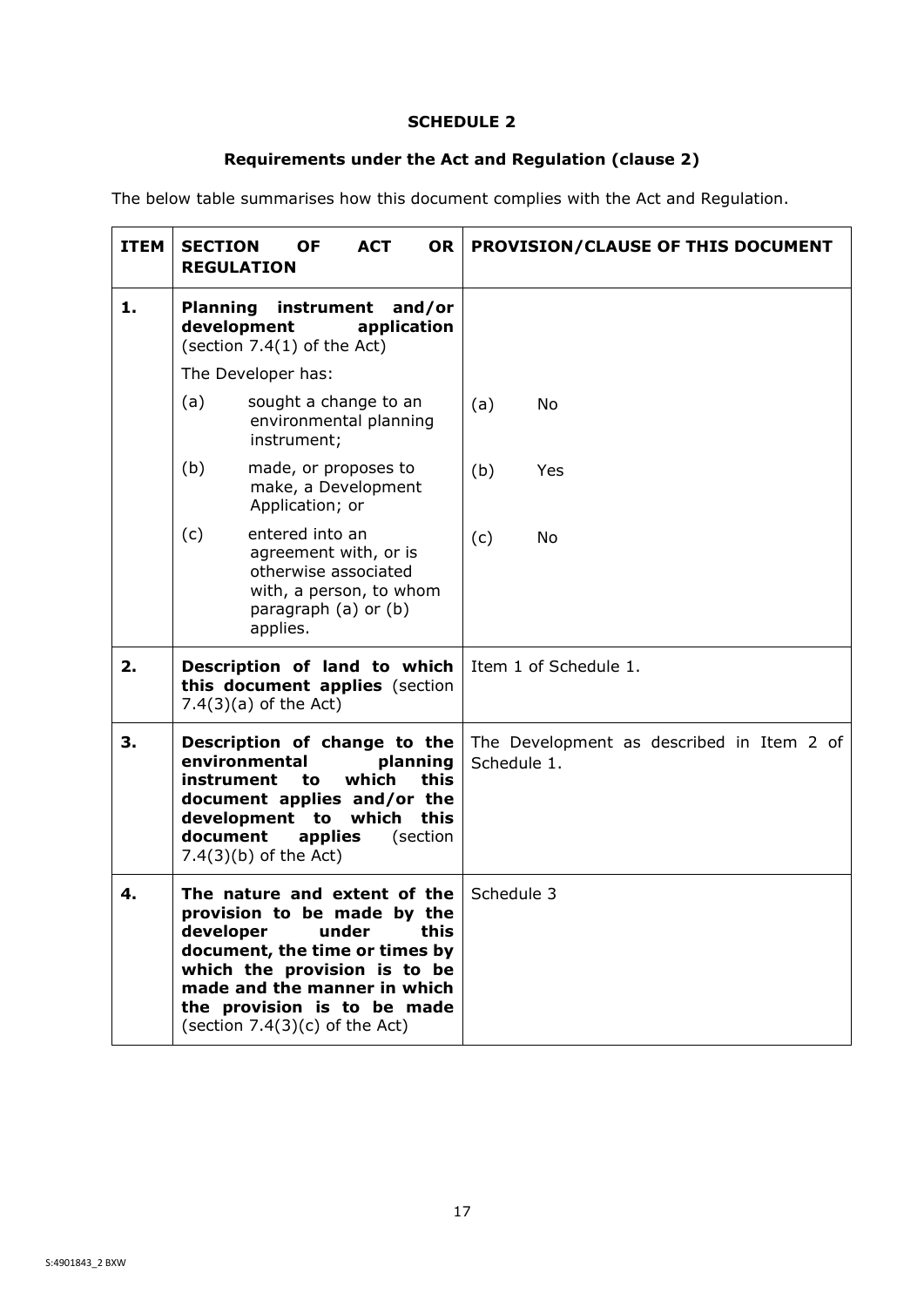## **SCHEDULE 2**

# **Requirements under the Act and Regulation (clause [2\)](#page-7-0)**

<span id="page-19-1"></span><span id="page-19-0"></span>The below table summarises how this document complies with the Act and Regulation.

| <b>ITEM</b> | <b>SECTION</b><br><b>OF</b><br><b>ACT</b><br><b>OR</b><br><b>REGULATION</b>                                                                                                                                                                                    | PROVISION/CLAUSE OF THIS DOCUMENT                        |
|-------------|----------------------------------------------------------------------------------------------------------------------------------------------------------------------------------------------------------------------------------------------------------------|----------------------------------------------------------|
| 1.          | Planning instrument and/or<br>development<br>application<br>(section $7.4(1)$ of the Act)                                                                                                                                                                      |                                                          |
|             | The Developer has:                                                                                                                                                                                                                                             |                                                          |
|             | (a)<br>sought a change to an<br>environmental planning<br>instrument;                                                                                                                                                                                          | (a)<br>No                                                |
|             | (b)<br>made, or proposes to<br>make, a Development<br>Application; or                                                                                                                                                                                          | (b)<br>Yes                                               |
|             | (c)<br>entered into an<br>agreement with, or is<br>otherwise associated<br>with, a person, to whom<br>paragraph (a) or (b)<br>applies.                                                                                                                         | (c)<br>No                                                |
| 2.          | Description of land to which<br>this document applies (section<br>$7.4(3)(a)$ of the Act)                                                                                                                                                                      | Item 1 of Schedule 1.                                    |
| 3.          | Description of change to the<br>environmental<br>planning<br>instrument<br>which<br>this<br>to<br>document applies and/or the<br>development to<br>which<br>this<br>document<br>applies<br>(section<br>$7.4(3)(b)$ of the Act)                                 | The Development as described in Item 2 of<br>Schedule 1. |
| 4.          | The nature and extent of the<br>provision to be made by the<br>under<br>this<br>developer<br>document, the time or times by<br>which the provision is to be<br>made and the manner in which<br>the provision is to be made<br>(section $7.4(3)(c)$ of the Act) | Schedule 3                                               |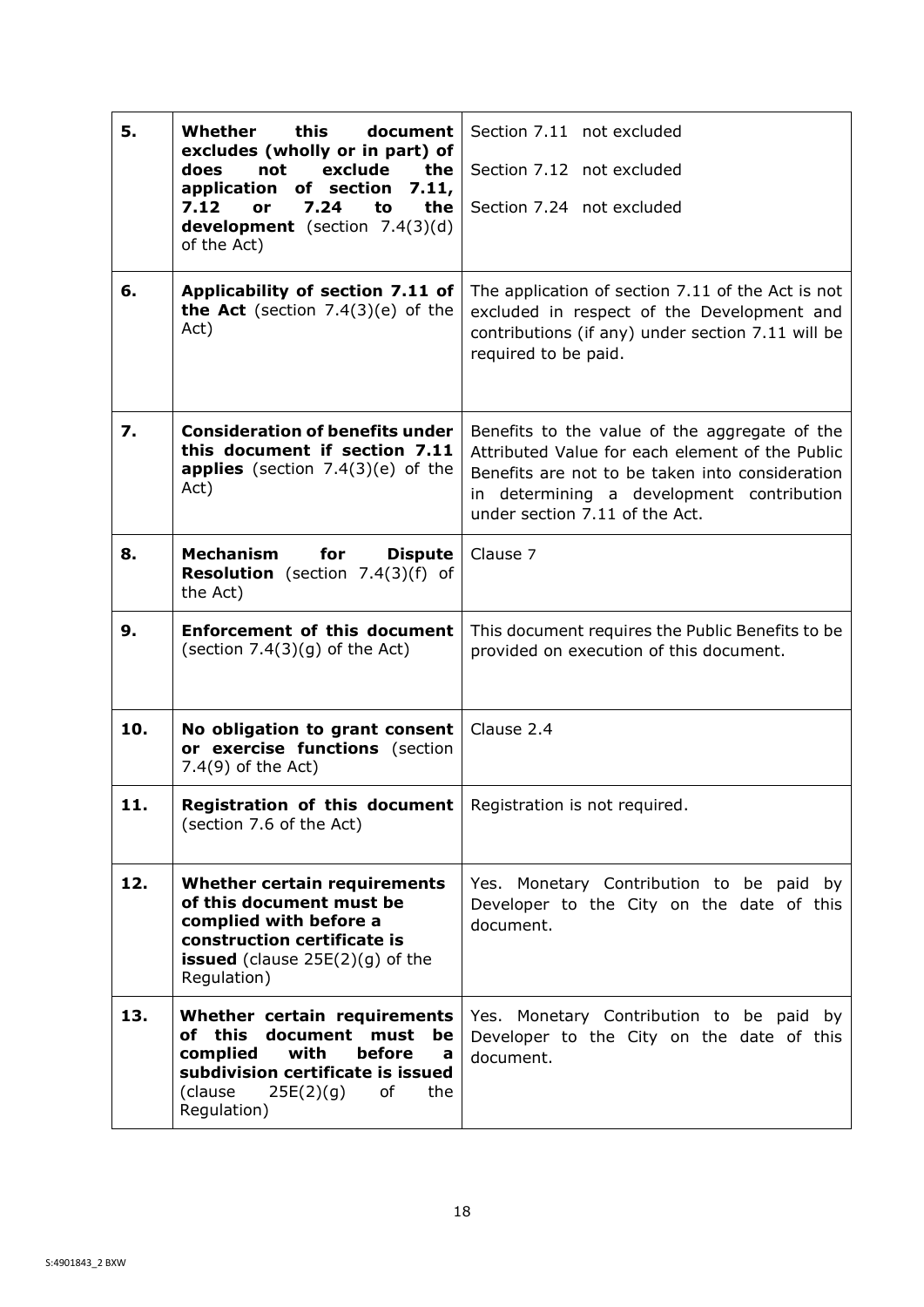<span id="page-20-1"></span><span id="page-20-0"></span>

| 5.  | Whether<br>this<br>document<br>excludes (wholly or in part) of                                                                                                                                | Section 7.11 not excluded                                                                                                                                                                                                          |  |
|-----|-----------------------------------------------------------------------------------------------------------------------------------------------------------------------------------------------|------------------------------------------------------------------------------------------------------------------------------------------------------------------------------------------------------------------------------------|--|
|     | exclude<br>the<br>does<br>not                                                                                                                                                                 | Section 7.12 not excluded                                                                                                                                                                                                          |  |
|     | application of section<br>7.11,<br>7.24<br>the<br>7.12<br>to<br>or<br><b>development</b> (section $7.4(3)(d)$<br>of the Act)                                                                  | Section 7.24 not excluded                                                                                                                                                                                                          |  |
| 6.  | Applicability of section 7.11 of<br><b>the Act</b> (section $7.4(3)(e)$ of the<br>Act)                                                                                                        | The application of section 7.11 of the Act is not<br>excluded in respect of the Development and<br>contributions (if any) under section 7.11 will be<br>required to be paid.                                                       |  |
| 7.  | <b>Consideration of benefits under</b><br>this document if section 7.11<br>applies (section $7.4(3)(e)$ of the<br>Act)                                                                        | Benefits to the value of the aggregate of the<br>Attributed Value for each element of the Public<br>Benefits are not to be taken into consideration<br>in determining a development contribution<br>under section 7.11 of the Act. |  |
| 8.  | Mechanism<br>for<br><b>Dispute</b><br><b>Resolution</b> (section $7.4(3)(f)$ of<br>the Act)                                                                                                   | Clause 7                                                                                                                                                                                                                           |  |
| 9.  | <b>Enforcement of this document</b><br>(section $7.4(3)(g)$ of the Act)                                                                                                                       | This document requires the Public Benefits to be<br>provided on execution of this document.                                                                                                                                        |  |
| 10. | No obligation to grant consent<br>or exercise functions (section<br>7.4(9) of the Act)                                                                                                        | Clause 2.4                                                                                                                                                                                                                         |  |
| 11. | <b>Registration of this document</b>   Registration is not required.<br>(section 7.6 of the Act)                                                                                              |                                                                                                                                                                                                                                    |  |
| 12. | Whether certain requirements<br>of this document must be<br>complied with before a<br>construction certificate is<br><b>issued</b> (clause $25E(2)(g)$ of the<br>Regulation)                  | Yes. Monetary Contribution to be paid by<br>Developer to the City on the date of this<br>document.                                                                                                                                 |  |
| 13. | Whether certain requirements<br>document<br>of this<br>must<br>be<br>complied<br>with<br>before<br>a<br>subdivision certificate is issued<br>(clause<br>25E(2)(g)<br>of<br>the<br>Regulation) | Yes. Monetary Contribution to be paid by<br>Developer to the City on the date of this<br>document.                                                                                                                                 |  |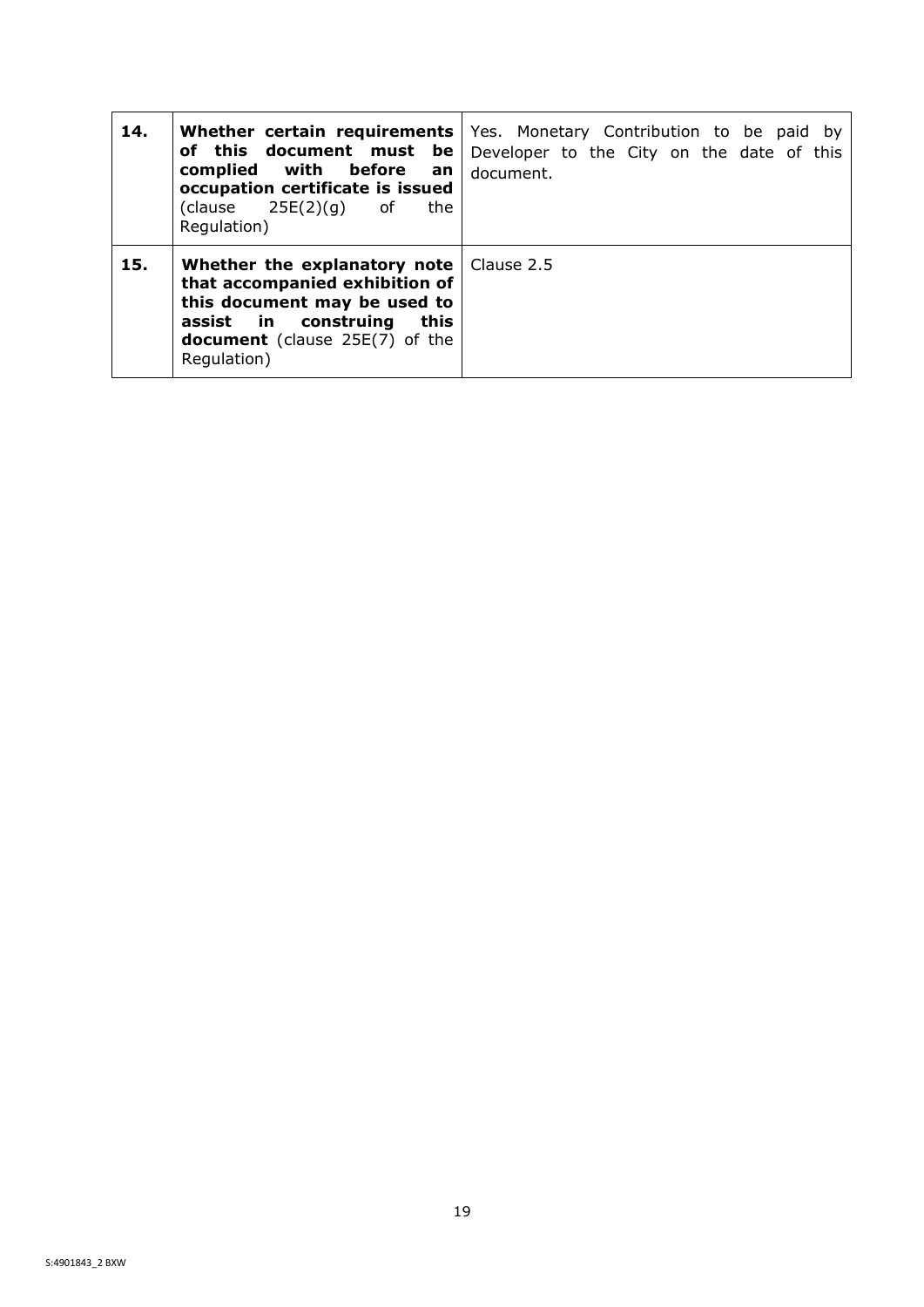| 14. | Whether certain requirements<br>of this document must be<br>with before<br>complied<br>an<br>occupation certificate is issued<br>(clause $25E(2)(g)$ of<br>the<br>Regulation)                                    | Yes. Monetary Contribution to be paid by<br>Developer to the City on the date of this<br>document. |
|-----|------------------------------------------------------------------------------------------------------------------------------------------------------------------------------------------------------------------|----------------------------------------------------------------------------------------------------|
| 15. | <b>Whether the explanatory note</b> $\vert$ Clause 2.5<br>that accompanied exhibition of<br>this document may be used to<br>assist in construing<br>this<br><b>document</b> (clause 25E(7) of the<br>Regulation) |                                                                                                    |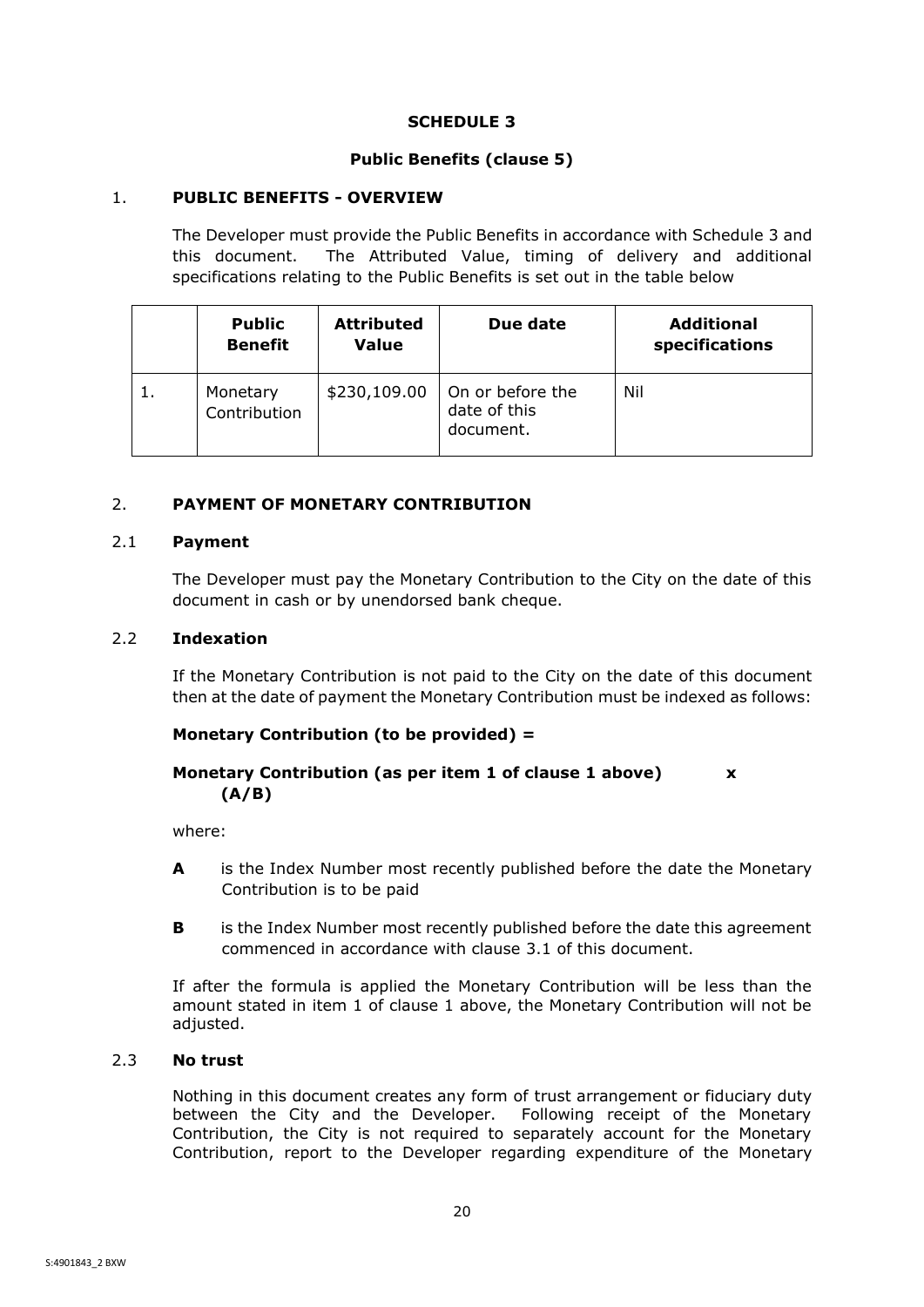## **SCHEDULE 3**

## **Public Benefits (clause 5)**

## <span id="page-22-6"></span><span id="page-22-5"></span><span id="page-22-0"></span>1. **PUBLIC BENEFITS - OVERVIEW**

The Developer must provide the Public Benefits in accordance with Schedule 3 and this document. The Attributed Value, timing of delivery and additional specifications relating to the Public Benefits is set out in the table below

|    | <b>Public</b><br><b>Benefit</b> | <b>Attributed</b><br><b>Value</b> | Due date                                      | <b>Additional</b><br>specifications |
|----|---------------------------------|-----------------------------------|-----------------------------------------------|-------------------------------------|
| 1. | Monetary<br>Contribution        | \$230,109.00                      | On or before the<br>date of this<br>document. | Nil                                 |

## <span id="page-22-1"></span>2. **PAYMENT OF MONETARY CONTRIBUTION**

## <span id="page-22-2"></span>2.1 **Payment**

The Developer must pay the Monetary Contribution to the City on the date of this document in cash or by unendorsed bank cheque.

## <span id="page-22-3"></span>2.2 **Indexation**

If the Monetary Contribution is not paid to the City on the date of this document then at the date of payment the Monetary Contribution must be indexed as follows:

## **Monetary Contribution (to be provided) =**

## **Monetary Contribution (as per item 1 of clause 1 above) x (A/B)**

where:

- **A** is the Index Number most recently published before the date the Monetary Contribution is to be paid
- **B** is the Index Number most recently published before the date this agreement commenced in accordance with clause [3.1](#page-8-4) of this document.

If after the formula is applied the Monetary Contribution will be less than the amount stated in item 1 of clause 1 above, the Monetary Contribution will not be adjusted.

## <span id="page-22-4"></span>2.3 **No trust**

Nothing in this document creates any form of trust arrangement or fiduciary duty between the City and the Developer. Following receipt of the Monetary Contribution, the City is not required to separately account for the Monetary Contribution, report to the Developer regarding expenditure of the Monetary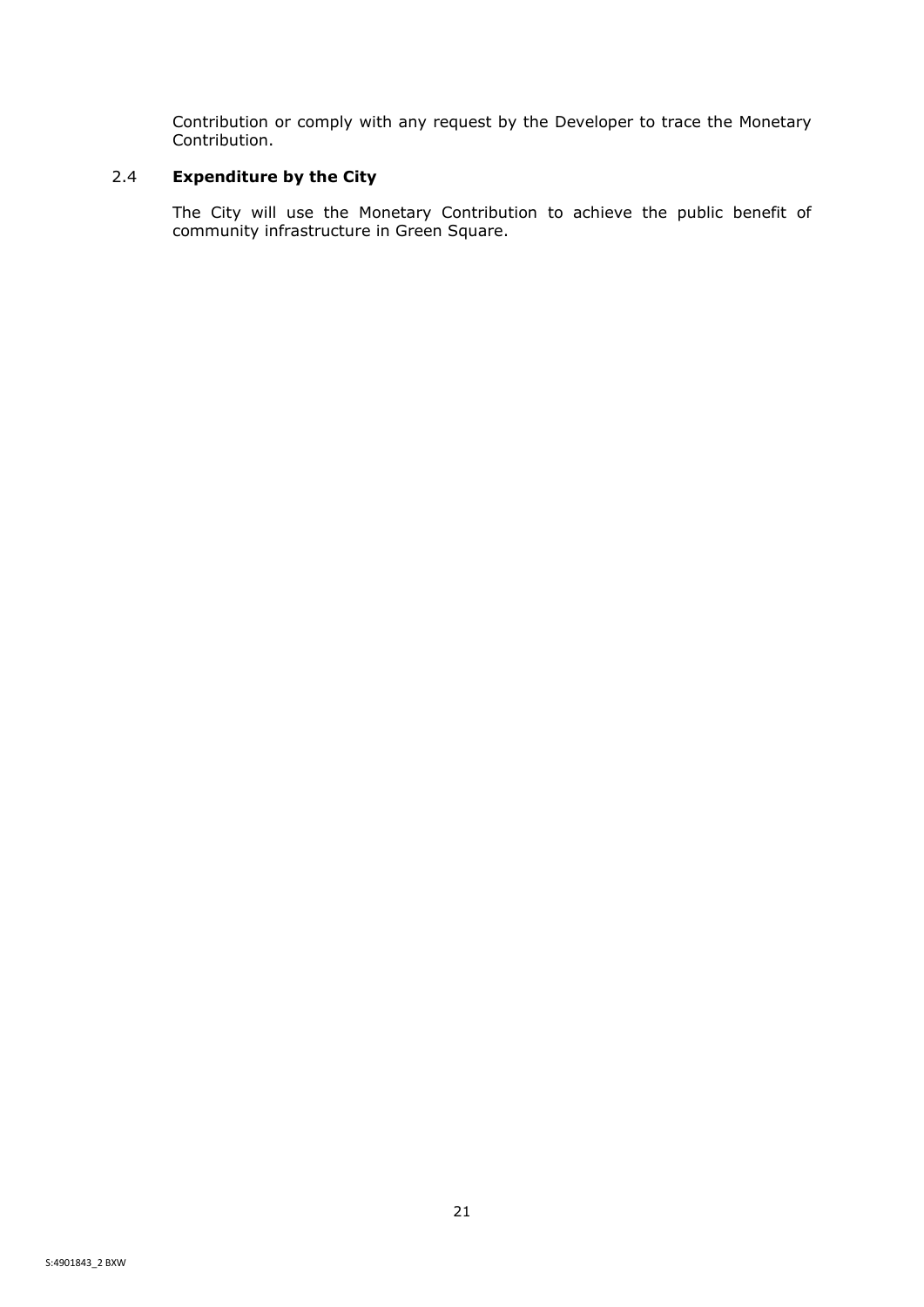Contribution or comply with any request by the Developer to trace the Monetary Contribution.

## <span id="page-23-0"></span>2.4 **Expenditure by the City**

The City will use the Monetary Contribution to achieve the public benefit of community infrastructure in Green Square.